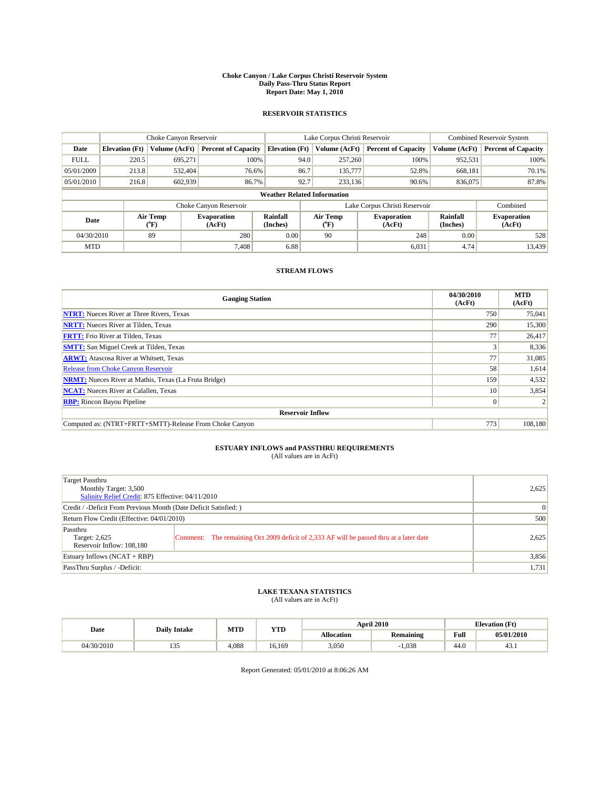#### **Choke Canyon / Lake Corpus Christi Reservoir System Daily Pass-Thru Status Report Report Date: May 1, 2010**

## **RESERVOIR STATISTICS**

|             | Choke Canyon Reservoir                                                                                                                               |               |                            |                                    | Lake Corpus Christi Reservoir |               |                               |               | <b>Combined Reservoir System</b> |  |
|-------------|------------------------------------------------------------------------------------------------------------------------------------------------------|---------------|----------------------------|------------------------------------|-------------------------------|---------------|-------------------------------|---------------|----------------------------------|--|
| Date        | <b>Elevation</b> (Ft)                                                                                                                                | Volume (AcFt) | <b>Percent of Capacity</b> | <b>Elevation</b> (Ft)              |                               | Volume (AcFt) | <b>Percent of Capacity</b>    | Volume (AcFt) | <b>Percent of Capacity</b>       |  |
| <b>FULL</b> | 220.5                                                                                                                                                | 695,271       | 100%                       |                                    | 94.0                          | 257,260       | 100%                          | 952,531       | 100%                             |  |
| 05/01/2009  | 213.8                                                                                                                                                | 532.404       | 76.6%                      |                                    | 86.7                          | 135,777       | 52.8%                         | 668,181       | 70.1%                            |  |
| 05/01/2010  | 216.8                                                                                                                                                | 602,939       | 86.7%                      |                                    | 92.7                          | 233.136       | 90.6%                         | 836,075       | 87.8%                            |  |
|             |                                                                                                                                                      |               |                            | <b>Weather Related Information</b> |                               |               |                               |               |                                  |  |
|             |                                                                                                                                                      |               | Choke Canyon Reservoir     |                                    |                               |               | Lake Corpus Christi Reservoir |               | Combined                         |  |
|             | Air Temp<br>Air Temp<br>Rainfall<br><b>Evaporation</b><br><b>Evaporation</b><br>Date<br>(Inches)<br>(AcFt)<br>$\rm ^{o}F)$<br>(AcFt)<br>$\rm ^{o}F)$ |               | Rainfall<br>(Inches)       | <b>Evaporation</b><br>(AcFt)       |                               |               |                               |               |                                  |  |
| 04/30/2010  |                                                                                                                                                      | 89            | 280                        | 0.00                               |                               | 90            | 248                           | 0.00          | 528                              |  |
| <b>MTD</b>  |                                                                                                                                                      |               | 7.408                      | 6.88                               |                               |               | 6,031                         | 4.74          | 13,439                           |  |

## **STREAM FLOWS**

| <b>Gauging Station</b>                                       | 04/30/2010<br>(AcFt) | <b>MTD</b><br>(AcFt) |  |  |  |  |  |
|--------------------------------------------------------------|----------------------|----------------------|--|--|--|--|--|
| <b>NTRT:</b> Nueces River at Three Rivers, Texas             | 750                  | 75,041               |  |  |  |  |  |
| <b>NRTT:</b> Nueces River at Tilden, Texas                   | 290                  | 15,300               |  |  |  |  |  |
| <b>FRTT:</b> Frio River at Tilden, Texas                     | 77                   | 26,417               |  |  |  |  |  |
| <b>SMTT:</b> San Miguel Creek at Tilden, Texas               | 3                    | 8,336                |  |  |  |  |  |
| <b>ARWT:</b> Atascosa River at Whitsett, Texas               | 77                   | 31,085               |  |  |  |  |  |
| <b>Release from Choke Canyon Reservoir</b>                   | 58                   | 1,614                |  |  |  |  |  |
| <b>NRMT:</b> Nueces River at Mathis, Texas (La Fruta Bridge) | 159                  | 4,532                |  |  |  |  |  |
| <b>NCAT:</b> Nueces River at Calallen, Texas                 | 10                   | 3,854                |  |  |  |  |  |
| <b>RBP:</b> Rincon Bayou Pipeline                            | $\vert 0 \vert$      |                      |  |  |  |  |  |
| <b>Reservoir Inflow</b>                                      |                      |                      |  |  |  |  |  |
| Computed as: (NTRT+FRTT+SMTT)-Release From Choke Canyon      | 773                  | 108,180              |  |  |  |  |  |

## **ESTUARY INFLOWS and PASSTHRU REQUIREMENTS**

|  | (All values are in AcFt) |
|--|--------------------------|
|--|--------------------------|

| Target Passthru<br>Monthly Target: 3,500<br>Salinity Relief Credit: 875 Effective: 04/11/2010 | 2,625                                                                                   |          |
|-----------------------------------------------------------------------------------------------|-----------------------------------------------------------------------------------------|----------|
| Credit / -Deficit From Previous Month (Date Deficit Satisfied: )                              |                                                                                         | $\Omega$ |
| Return Flow Credit (Effective: 04/01/2010)                                                    |                                                                                         | 500      |
| Passthru<br>Target: 2,625<br>Reservoir Inflow: 108,180                                        | Comment: The remaining Oct 2009 deficit of 2,333 AF will be passed thru at a later date | 2,625    |
| Estuary Inflows (NCAT + RBP)                                                                  |                                                                                         | 3,856    |
| PassThru Surplus / -Deficit:                                                                  |                                                                                         | 1,731    |

## **LAKE TEXANA STATISTICS** (All values are in AcFt)

|            | <b>Daily Intake</b>    | MTD<br><b>YTD</b> |        |                   | <b>April 2010</b> | <b>Elevation</b> (Ft)                       |            |
|------------|------------------------|-------------------|--------|-------------------|-------------------|---------------------------------------------|------------|
| Date       |                        |                   |        | <b>Allocation</b> | <b>Remaining</b>  | Full<br>the contract of the contract of the | 05/01/2010 |
| 04/30/2010 | $\sim$ $\sim$<br>1 J J | 4.088             | 16.169 | 3,050             | 1.038             | 44.0                                        | 43.1       |

Report Generated: 05/01/2010 at 8:06:26 AM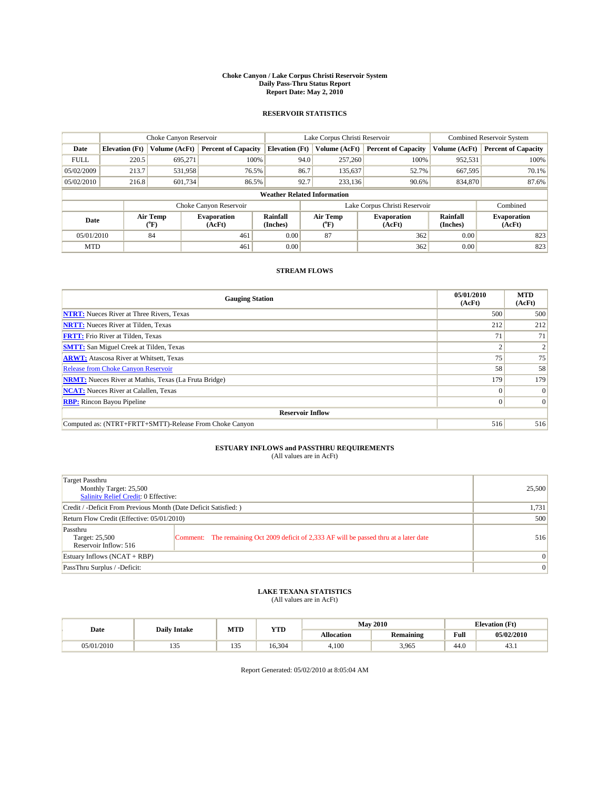#### **Choke Canyon / Lake Corpus Christi Reservoir System Daily Pass-Thru Status Report Report Date: May 2, 2010**

## **RESERVOIR STATISTICS**

|                                                                                   | Choke Canyon Reservoir |               |                            |                                    | Lake Corpus Christi Reservoir | <b>Combined Reservoir System</b> |                              |                            |
|-----------------------------------------------------------------------------------|------------------------|---------------|----------------------------|------------------------------------|-------------------------------|----------------------------------|------------------------------|----------------------------|
| Date                                                                              | <b>Elevation</b> (Ft)  | Volume (AcFt) | <b>Percent of Capacity</b> | <b>Elevation</b> (Ft)              | Volume (AcFt)                 | <b>Percent of Capacity</b>       | Volume (AcFt)                | <b>Percent of Capacity</b> |
| <b>FULL</b>                                                                       | 220.5                  | 695.271       | 100%                       | 94.0                               | 257,260                       | 100%                             | 952,531                      | 100%                       |
| 05/02/2009                                                                        | 213.7                  | 531,958       | 76.5%                      | 86.7                               | 135,637                       | 52.7%                            | 667,595                      | 70.1%                      |
| 05/02/2010                                                                        | 216.8                  | 601,734       | 86.5%                      | 92.7                               | 233,136                       | 90.6%                            | 834,870                      | 87.6%                      |
|                                                                                   |                        |               |                            | <b>Weather Related Information</b> |                               |                                  |                              |                            |
|                                                                                   |                        |               | Choke Canyon Reservoir     |                                    |                               | Lake Corpus Christi Reservoir    |                              | Combined                   |
| Air Temp<br><b>Evaporation</b><br>Date<br>(AcFt)<br>$({}^{\mathrm{o}}\mathrm{F})$ |                        |               | Rainfall<br>(Inches)       | Air Temp<br>(°F)                   | <b>Evaporation</b><br>(AcFt)  | Rainfall<br>(Inches)             | <b>Evaporation</b><br>(AcFt) |                            |
| 05/01/2010                                                                        |                        | 84            | 461                        | 0.00                               | 87                            | 362                              | 0.00                         | 823                        |
| <b>MTD</b>                                                                        |                        |               | 461                        | 0.00                               |                               | 362                              | 0.00                         | 823                        |

## **STREAM FLOWS**

| <b>Gauging Station</b>                                       | 05/01/2010<br>(AcFt) | <b>MTD</b><br>(AcFt) |  |  |  |  |
|--------------------------------------------------------------|----------------------|----------------------|--|--|--|--|
| <b>NTRT:</b> Nueces River at Three Rivers, Texas             | 500                  | 500                  |  |  |  |  |
| <b>NRTT:</b> Nueces River at Tilden, Texas                   | 212                  | 212                  |  |  |  |  |
| <b>FRTT:</b> Frio River at Tilden, Texas                     | 71                   | 71                   |  |  |  |  |
| <b>SMTT:</b> San Miguel Creek at Tilden, Texas               |                      |                      |  |  |  |  |
| <b>ARWT:</b> Atascosa River at Whitsett, Texas               | 75                   | 75                   |  |  |  |  |
| <b>Release from Choke Canyon Reservoir</b>                   | 58                   | 58                   |  |  |  |  |
| <b>NRMT:</b> Nueces River at Mathis, Texas (La Fruta Bridge) | 179                  | 179                  |  |  |  |  |
| <b>NCAT:</b> Nueces River at Calallen, Texas                 | $\Omega$             | $\Omega$             |  |  |  |  |
| <b>RBP:</b> Rincon Bayou Pipeline                            | $\overline{0}$       | $\Omega$             |  |  |  |  |
| <b>Reservoir Inflow</b>                                      |                      |                      |  |  |  |  |
| Computed as: (NTRT+FRTT+SMTT)-Release From Choke Canyon      | 516                  | 516                  |  |  |  |  |

# **ESTUARY INFLOWS and PASSTHRU REQUIREMENTS**<br>(All values are in AcFt)

| Target Passthru<br>Monthly Target: 25,500<br>Salinity Relief Credit: 0 Effective: |                                                                                         | 25,500          |  |
|-----------------------------------------------------------------------------------|-----------------------------------------------------------------------------------------|-----------------|--|
| Credit / -Deficit From Previous Month (Date Deficit Satisfied: )                  | 1,731                                                                                   |                 |  |
| Return Flow Credit (Effective: 05/01/2010)                                        | 500                                                                                     |                 |  |
| Passthru<br>Target: 25,500<br>Reservoir Inflow: 516                               | Comment: The remaining Oct 2009 deficit of 2,333 AF will be passed thru at a later date | 516             |  |
| Estuary Inflows (NCAT + RBP)                                                      |                                                                                         |                 |  |
| PassThru Surplus / -Deficit:                                                      |                                                                                         | $\vert 0 \vert$ |  |

## **LAKE TEXANA STATISTICS** (All values are in AcFt)

|            | <b>Daily Intake</b> | MTD                           | <b>YTD</b> |                   | <b>May 2010</b>  | <b>Elevation</b> (Ft) |            |
|------------|---------------------|-------------------------------|------------|-------------------|------------------|-----------------------|------------|
| Date       |                     |                               |            | <b>Allocation</b> | <b>Remaining</b> | Full                  | 05/02/2010 |
| 05/01/2010 | $\sim$<br>1 J J     | $\sim$ $\sim$ $\sim$<br>1 J J | 16.304     | 4,100             | 3,965            | 44.0                  | 43.1       |

Report Generated: 05/02/2010 at 8:05:04 AM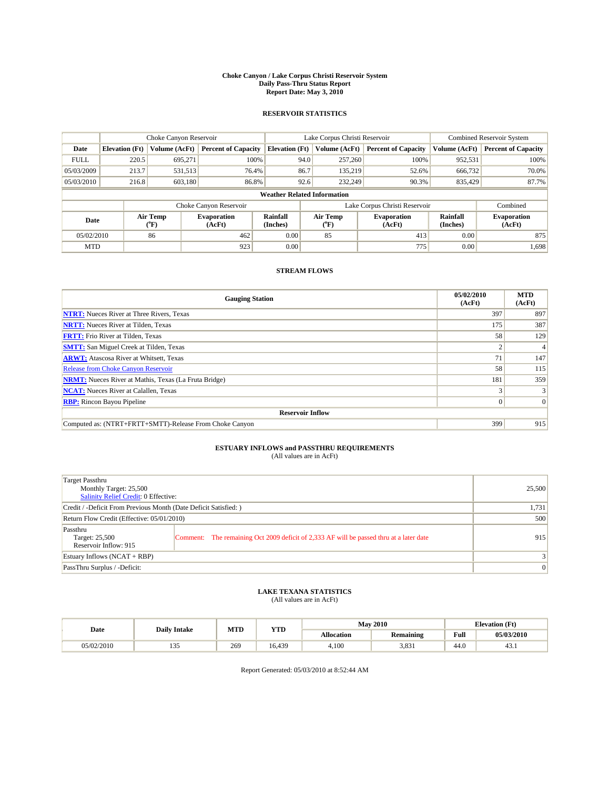#### **Choke Canyon / Lake Corpus Christi Reservoir System Daily Pass-Thru Status Report Report Date: May 3, 2010**

## **RESERVOIR STATISTICS**

|                                                                                                      | Choke Canyon Reservoir |                              |                            |                                    | Lake Corpus Christi Reservoir | Combined Reservoir System     |               |                            |
|------------------------------------------------------------------------------------------------------|------------------------|------------------------------|----------------------------|------------------------------------|-------------------------------|-------------------------------|---------------|----------------------------|
| Date                                                                                                 | <b>Elevation</b> (Ft)  | Volume (AcFt)                | <b>Percent of Capacity</b> | <b>Elevation</b> (Ft)              | Volume (AcFt)                 | <b>Percent of Capacity</b>    | Volume (AcFt) | <b>Percent of Capacity</b> |
| <b>FULL</b>                                                                                          | 220.5                  | 695.271                      | 100%                       | 94.0                               | 257,260                       | 100%                          | 952,531       | 100%                       |
| 05/03/2009                                                                                           | 213.7                  | 531.513                      | 76.4%                      | 86.7                               | 135,219                       | 52.6%                         | 666,732       | 70.0%                      |
| 05/03/2010                                                                                           | 216.8                  | 603,180                      | 86.8%                      | 92.6                               | 232,249                       | 90.3%                         | 835,429       | 87.7%                      |
|                                                                                                      |                        |                              |                            | <b>Weather Related Information</b> |                               |                               |               |                            |
|                                                                                                      |                        |                              | Choke Canyon Reservoir     |                                    |                               | Lake Corpus Christi Reservoir |               | Combined                   |
| Air Temp<br>Rainfall<br>Air Temp<br><b>Evaporation</b><br>Date<br>(AcFt)<br>(Inches)<br>(°F)<br>("F) |                        | <b>Evaporation</b><br>(AcFt) | Rainfall<br>(Inches)       | <b>Evaporation</b><br>(AcFt)       |                               |                               |               |                            |
| 05/02/2010                                                                                           |                        | 86                           | 462                        | 0.00                               | 85                            | 413                           | 0.00          | 875                        |
| <b>MTD</b>                                                                                           |                        |                              | 923                        | 0.00                               |                               | 775                           | 0.00          | 1,698                      |

## **STREAM FLOWS**

| <b>Gauging Station</b>                                       | 05/02/2010<br>(AcFt) | <b>MTD</b><br>(AcFt) |  |  |  |  |
|--------------------------------------------------------------|----------------------|----------------------|--|--|--|--|
| <b>NTRT:</b> Nueces River at Three Rivers, Texas             | 397                  | 897                  |  |  |  |  |
| <b>NRTT:</b> Nueces River at Tilden, Texas                   | 175                  | 387                  |  |  |  |  |
| <b>FRTT:</b> Frio River at Tilden, Texas                     | 58                   | 129                  |  |  |  |  |
| <b>SMTT:</b> San Miguel Creek at Tilden, Texas               |                      |                      |  |  |  |  |
| <b>ARWT:</b> Atascosa River at Whitsett, Texas               | 71                   | 147                  |  |  |  |  |
| <b>Release from Choke Canyon Reservoir</b>                   | 58                   | 115                  |  |  |  |  |
| <b>NRMT:</b> Nueces River at Mathis, Texas (La Fruta Bridge) | 181                  | 359                  |  |  |  |  |
| <b>NCAT:</b> Nueces River at Calallen, Texas                 |                      |                      |  |  |  |  |
| <b>RBP:</b> Rincon Bayou Pipeline                            | $\overline{0}$       | $\Omega$             |  |  |  |  |
| <b>Reservoir Inflow</b>                                      |                      |                      |  |  |  |  |
| Computed as: (NTRT+FRTT+SMTT)-Release From Choke Canyon      | 399                  | 915                  |  |  |  |  |

# **ESTUARY INFLOWS and PASSTHRU REQUIREMENTS**<br>(All values are in AcFt)

| Target Passthru<br>Monthly Target: 25,500<br>Salinity Relief Credit: 0 Effective: |                                                                                         | 25,500          |
|-----------------------------------------------------------------------------------|-----------------------------------------------------------------------------------------|-----------------|
| Credit / -Deficit From Previous Month (Date Deficit Satisfied: )                  | 1,731                                                                                   |                 |
| Return Flow Credit (Effective: 05/01/2010)                                        | 500                                                                                     |                 |
| Passthru<br>Target: 25,500<br>Reservoir Inflow: 915                               | Comment: The remaining Oct 2009 deficit of 2,333 AF will be passed thru at a later date | 915             |
| Estuary Inflows $(NCAT + RBP)$                                                    |                                                                                         | $\frac{3}{3}$   |
| PassThru Surplus / -Deficit:                                                      |                                                                                         | $\vert 0 \vert$ |

# **LAKE TEXANA STATISTICS** (All values are in AcFt)

| <b>Daily Intake</b> |                 | MTD | <b>YTD</b> | <b>May 2010</b>   |                  |      | <b>Elevation</b> (Ft) |
|---------------------|-----------------|-----|------------|-------------------|------------------|------|-----------------------|
| Date                |                 |     |            | <b>Allocation</b> | <b>Remaining</b> | Full | 05/03/2010            |
| 05/02/2010          | $\sim$<br>1 J J | 269 | 16.439     | 4,100             | 3.831            | 44.0 | 43.1                  |

Report Generated: 05/03/2010 at 8:52:44 AM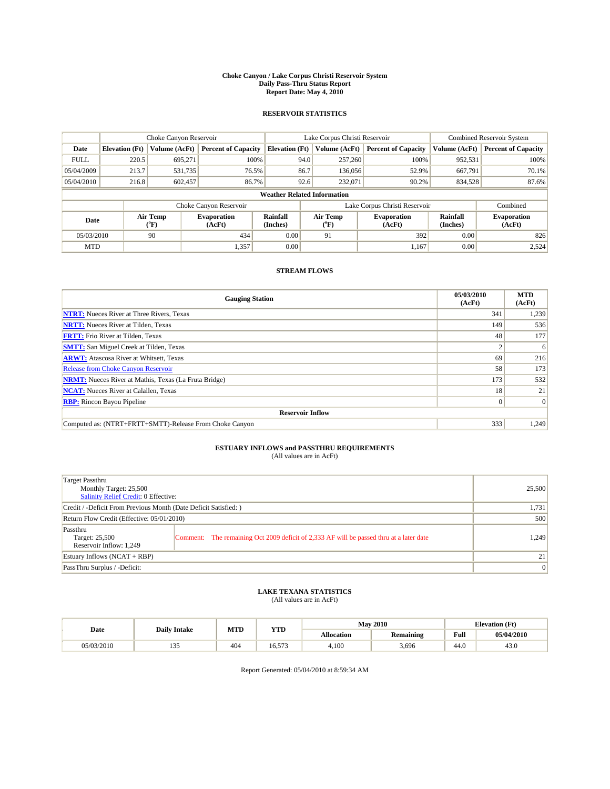#### **Choke Canyon / Lake Corpus Christi Reservoir System Daily Pass-Thru Status Report Report Date: May 4, 2010**

## **RESERVOIR STATISTICS**

|                                                   | Choke Canyon Reservoir |               | Lake Corpus Christi Reservoir |                                    |                               |                                   | Combined Reservoir System    |                      |                              |
|---------------------------------------------------|------------------------|---------------|-------------------------------|------------------------------------|-------------------------------|-----------------------------------|------------------------------|----------------------|------------------------------|
| Date                                              | <b>Elevation</b> (Ft)  | Volume (AcFt) | <b>Percent of Capacity</b>    | <b>Elevation</b> (Ft)              |                               | Volume (AcFt)                     | <b>Percent of Capacity</b>   | Volume (AcFt)        | <b>Percent of Capacity</b>   |
| <b>FULL</b>                                       | 220.5                  | 695,271       | 100%                          |                                    | 94.0                          | 257,260                           | 100%                         | 952,531              | 100%                         |
| 05/04/2009                                        | 213.7                  | 531.735       | 76.5%                         |                                    | 86.7                          | 136,056                           | 52.9%                        | 667,791              | 70.1%                        |
| 05/04/2010                                        | 216.8                  | 602,457       | 86.7%                         |                                    | 92.6                          | 232,071                           | 90.2%                        | 834,528              | 87.6%                        |
|                                                   |                        |               |                               | <b>Weather Related Information</b> |                               |                                   |                              |                      |                              |
|                                                   |                        |               | Choke Canyon Reservoir        |                                    | Lake Corpus Christi Reservoir |                                   |                              |                      | Combined                     |
| Air Temp<br>Date<br>$({}^{\mathrm{o}}\mathrm{F})$ |                        |               | <b>Evaporation</b><br>(AcFt)  | Rainfall<br>(Inches)               |                               | Air Temp<br>$({}^{\circ}{\rm F})$ | <b>Evaporation</b><br>(AcFt) | Rainfall<br>(Inches) | <b>Evaporation</b><br>(AcFt) |
| 05/03/2010                                        |                        | 90            | 434                           | 0.00                               |                               | 91                                | 392                          | 0.00                 | 826                          |
| <b>MTD</b>                                        |                        |               | 1,357                         | 0.00                               |                               |                                   | 1.167                        | 0.00                 | 2,524                        |

## **STREAM FLOWS**

| <b>Gauging Station</b>                                       | 05/03/2010<br>(AcFt) | <b>MTD</b><br>(AcFt) |  |  |  |  |
|--------------------------------------------------------------|----------------------|----------------------|--|--|--|--|
| <b>NTRT:</b> Nueces River at Three Rivers, Texas             | 341                  | 1,239                |  |  |  |  |
| <b>NRTT:</b> Nueces River at Tilden, Texas                   | 149                  | 536                  |  |  |  |  |
| <b>FRTT:</b> Frio River at Tilden, Texas                     | 48                   | 177                  |  |  |  |  |
| <b>SMTT:</b> San Miguel Creek at Tilden, Texas               |                      | 6                    |  |  |  |  |
| <b>ARWT:</b> Atascosa River at Whitsett, Texas               | 69                   | 216                  |  |  |  |  |
| <b>Release from Choke Canyon Reservoir</b>                   | 58                   | 173                  |  |  |  |  |
| <b>NRMT:</b> Nueces River at Mathis, Texas (La Fruta Bridge) | 173                  | 532                  |  |  |  |  |
| <b>NCAT:</b> Nueces River at Calallen, Texas                 | 18                   | 21                   |  |  |  |  |
| <b>RBP:</b> Rincon Bayou Pipeline                            | $\overline{0}$       | $\Omega$             |  |  |  |  |
| <b>Reservoir Inflow</b>                                      |                      |                      |  |  |  |  |
| Computed as: (NTRT+FRTT+SMTT)-Release From Choke Canyon      | 333                  | 1,249                |  |  |  |  |

# **ESTUARY INFLOWS and PASSTHRU REQUIREMENTS**<br>(All values are in AcFt)

| Target Passthru<br>Monthly Target: 25,500<br>Salinity Relief Credit: 0 Effective: |                                                                                         | 25,500 |  |  |  |
|-----------------------------------------------------------------------------------|-----------------------------------------------------------------------------------------|--------|--|--|--|
| Credit / -Deficit From Previous Month (Date Deficit Satisfied: )                  |                                                                                         |        |  |  |  |
| Return Flow Credit (Effective: 05/01/2010)                                        |                                                                                         |        |  |  |  |
| Passthru<br>Target: 25,500<br>Reservoir Inflow: 1,249                             | Comment: The remaining Oct 2009 deficit of 2,333 AF will be passed thru at a later date | 1.249  |  |  |  |
| Estuary Inflows (NCAT + RBP)                                                      |                                                                                         | 21     |  |  |  |
| PassThru Surplus / -Deficit:                                                      | $\vert 0 \vert$                                                                         |        |  |  |  |

# **LAKE TEXANA STATISTICS** (All values are in AcFt)

| <b>Daily Intake</b> |                 | MTD | <b>YTD</b> | <b>May 2010</b> |           |             | <b>Elevation</b> (Ft) |  |
|---------------------|-----------------|-----|------------|-----------------|-----------|-------------|-----------------------|--|
| Date                |                 |     |            | Allocation      | Remaining | <b>Full</b> | 05/04/2010            |  |
| 05/03/2010          | $\sim$<br>1 J J | 404 | 16.573     | 4.100           | 3,696     | 44.0        | 43.0                  |  |

Report Generated: 05/04/2010 at 8:59:34 AM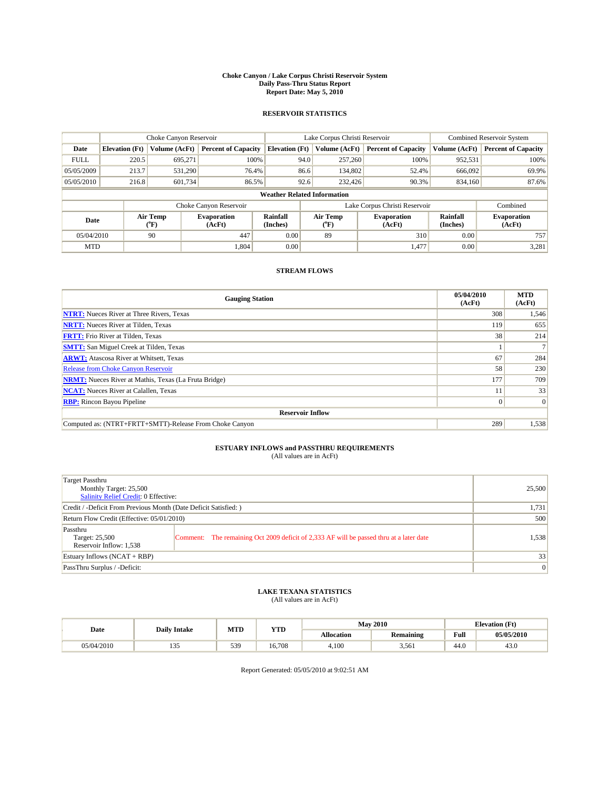#### **Choke Canyon / Lake Corpus Christi Reservoir System Daily Pass-Thru Status Report Report Date: May 5, 2010**

## **RESERVOIR STATISTICS**

|             | Choke Canyon Reservoir              |               |                              |                                    | Lake Corpus Christi Reservoir | Combined Reservoir System    |                      |                              |
|-------------|-------------------------------------|---------------|------------------------------|------------------------------------|-------------------------------|------------------------------|----------------------|------------------------------|
| Date        | <b>Elevation</b> (Ft)               | Volume (AcFt) | <b>Percent of Capacity</b>   | <b>Elevation</b> (Ft)              | Volume (AcFt)                 | <b>Percent of Capacity</b>   | Volume (AcFt)        | <b>Percent of Capacity</b>   |
| <b>FULL</b> | 220.5                               | 695,271       | 100%                         | 94.0                               | 257,260                       | 100%                         | 952,531              | 100%                         |
| 05/05/2009  | 213.7                               | 531,290       | 76.4%                        | 86.6                               | 134,802                       | 52.4%                        | 666.092              | 69.9%                        |
| 05/05/2010  | 216.8                               | 601,734       | 86.5%                        | 92.6                               | 232,426                       | 90.3%                        | 834,160              | 87.6%                        |
|             |                                     |               |                              | <b>Weather Related Information</b> |                               |                              |                      |                              |
|             |                                     |               | Choke Canyon Reservoir       |                                    | Lake Corpus Christi Reservoir |                              |                      | Combined                     |
|             | Air Temp<br>Date<br>${}^{\circ}$ F) |               | <b>Evaporation</b><br>(AcFt) | <b>Rainfall</b><br>(Inches)        | Air Temp<br>$(^oF)$           | <b>Evaporation</b><br>(AcFt) | Rainfall<br>(Inches) | <b>Evaporation</b><br>(AcFt) |
| 05/04/2010  |                                     | 90            | 447                          | 0.00                               | 89                            | 310                          | 0.00                 | 757                          |
| <b>MTD</b>  |                                     |               | 1,804                        | 0.00                               |                               | 1,477                        | 0.00                 | 3,281                        |

## **STREAM FLOWS**

| <b>Gauging Station</b>                                       | 05/04/2010<br>(AcFt) | <b>MTD</b><br>(AcFt) |  |  |  |  |
|--------------------------------------------------------------|----------------------|----------------------|--|--|--|--|
| <b>NTRT:</b> Nueces River at Three Rivers, Texas             | 308                  | 1,546                |  |  |  |  |
| <b>NRTT:</b> Nueces River at Tilden, Texas                   | 119                  | 655                  |  |  |  |  |
| <b>FRTT:</b> Frio River at Tilden, Texas                     | 38                   | 214                  |  |  |  |  |
| <b>SMTT:</b> San Miguel Creek at Tilden, Texas               |                      |                      |  |  |  |  |
| <b>ARWT:</b> Atascosa River at Whitsett, Texas               | 67                   | 284                  |  |  |  |  |
| <b>Release from Choke Canyon Reservoir</b>                   | 58                   | 230                  |  |  |  |  |
| <b>NRMT:</b> Nueces River at Mathis, Texas (La Fruta Bridge) | 177                  | 709                  |  |  |  |  |
| <b>NCAT:</b> Nueces River at Calallen, Texas                 |                      | 33                   |  |  |  |  |
| <b>RBP:</b> Rincon Bayou Pipeline                            | $\overline{0}$       | $\Omega$             |  |  |  |  |
| <b>Reservoir Inflow</b>                                      |                      |                      |  |  |  |  |
| Computed as: (NTRT+FRTT+SMTT)-Release From Choke Canyon      | 289                  | 1,538                |  |  |  |  |

# **ESTUARY INFLOWS and PASSTHRU REQUIREMENTS**<br>(All values are in AcFt)

| Target Passthru                                                  |                                                                                         |        |
|------------------------------------------------------------------|-----------------------------------------------------------------------------------------|--------|
| Monthly Target: 25,500                                           |                                                                                         | 25,500 |
| <b>Salinity Relief Credit: 0 Effective:</b>                      |                                                                                         |        |
| Credit / -Deficit From Previous Month (Date Deficit Satisfied: ) | 1,731                                                                                   |        |
| Return Flow Credit (Effective: 05/01/2010)                       | 500                                                                                     |        |
| Passthru                                                         |                                                                                         |        |
| Target: 25,500                                                   | Comment: The remaining Oct 2009 deficit of 2,333 AF will be passed thru at a later date | 1,538  |
| Reservoir Inflow: 1,538                                          |                                                                                         |        |
| Estuary Inflows $(NCAT + RBP)$                                   |                                                                                         | 33     |
| PassThru Surplus / -Deficit:                                     |                                                                                         | 0      |

## **LAKE TEXANA STATISTICS** (All values are in AcFt)

| <b>Daily Intake</b> |                              | MTD | <b>YTD</b> | <b>May 2010</b><br><b>Elevation</b> (Ft) |           |                                             |            |
|---------------------|------------------------------|-----|------------|------------------------------------------|-----------|---------------------------------------------|------------|
| Date                |                              |     |            | Allocation                               | Remaining | Full<br>the contract of the contract of the | 05/05/2010 |
| 05/04/2010          | $\sim$ $\sim$<br>$1 - 1 - 1$ | 539 | 16.708     | 4.100                                    | 3.561     | 44.0                                        | 43.0       |

Report Generated: 05/05/2010 at 9:02:51 AM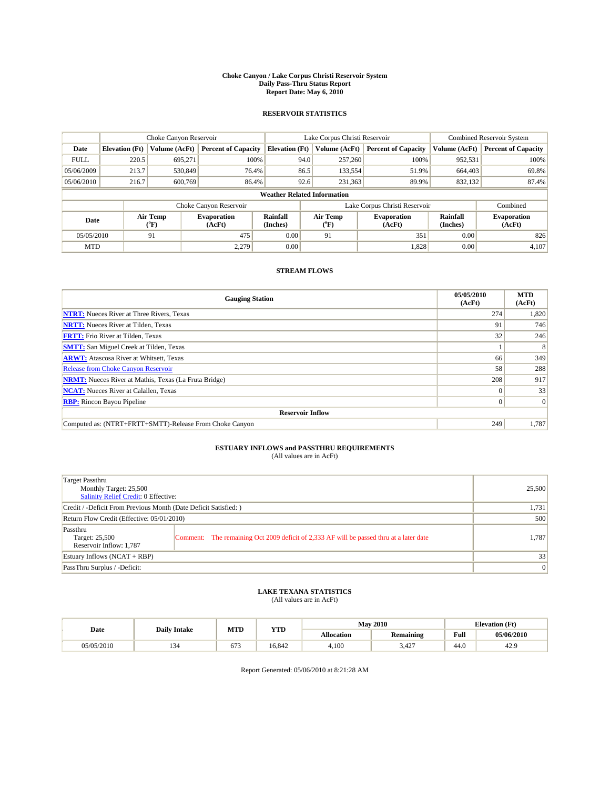#### **Choke Canyon / Lake Corpus Christi Reservoir System Daily Pass-Thru Status Report Report Date: May 6, 2010**

## **RESERVOIR STATISTICS**

|             | Choke Canyon Reservoir   |               |                              |                                    | Lake Corpus Christi Reservoir | <b>Combined Reservoir System</b> |                      |                              |
|-------------|--------------------------|---------------|------------------------------|------------------------------------|-------------------------------|----------------------------------|----------------------|------------------------------|
| Date        | <b>Elevation</b> (Ft)    | Volume (AcFt) | <b>Percent of Capacity</b>   | <b>Elevation</b> (Ft)              | Volume (AcFt)                 | <b>Percent of Capacity</b>       | Volume (AcFt)        | <b>Percent of Capacity</b>   |
| <b>FULL</b> | 220.5                    | 695,271       | 100%                         | 94.0                               | 257,260                       | 100%                             | 952,531              | 100%                         |
| 05/06/2009  | 213.7                    | 530,849       | 76.4%                        | 86.5                               | 133,554                       | 51.9%                            | 664,403              | 69.8%                        |
| 05/06/2010  | 216.7                    | 600,769       | 86.4%                        | 92.6                               | 231,363                       | 89.9%                            | 832,132              | 87.4%                        |
|             |                          |               |                              | <b>Weather Related Information</b> |                               |                                  |                      |                              |
|             |                          |               | Choke Canyon Reservoir       |                                    | Lake Corpus Christi Reservoir |                                  |                      | Combined                     |
|             | Air Temp<br>Date<br>(°F) |               | <b>Evaporation</b><br>(AcFt) | Rainfall<br>(Inches)               | Air Temp<br>("F)              | <b>Evaporation</b><br>(AcFt)     | Rainfall<br>(Inches) | <b>Evaporation</b><br>(AcFt) |
| 05/05/2010  |                          | 91            | 475                          | 0.00                               | 91                            | 351                              | 0.00                 | 826                          |
| <b>MTD</b>  |                          |               | 2.279                        | 0.00                               |                               | 1,828                            | 0.00                 | 4,107                        |

## **STREAM FLOWS**

| <b>Gauging Station</b>                                       | 05/05/2010<br>(AcFt) | <b>MTD</b><br>(AcFt) |  |  |  |  |
|--------------------------------------------------------------|----------------------|----------------------|--|--|--|--|
| <b>NTRT:</b> Nueces River at Three Rivers, Texas             | 274                  | 1,820                |  |  |  |  |
| <b>NRTT:</b> Nueces River at Tilden, Texas                   | 91                   | 746                  |  |  |  |  |
| <b>FRTT:</b> Frio River at Tilden, Texas                     | 32                   | 246                  |  |  |  |  |
| <b>SMTT:</b> San Miguel Creek at Tilden, Texas               |                      | 8                    |  |  |  |  |
| <b>ARWT:</b> Atascosa River at Whitsett, Texas               | 66                   | 349                  |  |  |  |  |
| <b>Release from Choke Canyon Reservoir</b>                   | 58                   | 288                  |  |  |  |  |
| <b>NRMT:</b> Nueces River at Mathis, Texas (La Fruta Bridge) | 208                  | 917                  |  |  |  |  |
| <b>NCAT:</b> Nueces River at Calallen, Texas                 | $\Omega$             | 33                   |  |  |  |  |
| <b>RBP:</b> Rincon Bayou Pipeline                            | $\overline{0}$       | $\Omega$             |  |  |  |  |
| <b>Reservoir Inflow</b>                                      |                      |                      |  |  |  |  |
| Computed as: (NTRT+FRTT+SMTT)-Release From Choke Canyon      | 249                  | 1,787                |  |  |  |  |

# **ESTUARY INFLOWS and PASSTHRU REQUIREMENTS**<br>(All values are in AcFt)

| Target Passthru                                                                                           |        |  |  |  |  |
|-----------------------------------------------------------------------------------------------------------|--------|--|--|--|--|
| Monthly Target: 25,500                                                                                    | 25,500 |  |  |  |  |
| <b>Salinity Relief Credit: 0 Effective:</b>                                                               |        |  |  |  |  |
| Credit / -Deficit From Previous Month (Date Deficit Satisfied: )                                          |        |  |  |  |  |
| Return Flow Credit (Effective: 05/01/2010)                                                                |        |  |  |  |  |
| Passthru                                                                                                  |        |  |  |  |  |
| Comment: The remaining Oct 2009 deficit of 2,333 AF will be passed thru at a later date<br>Target: 25,500 | 1.787  |  |  |  |  |
| Reservoir Inflow: 1,787                                                                                   |        |  |  |  |  |
| Estuary Inflows $(NCAT + RBP)$                                                                            | 33     |  |  |  |  |
| PassThru Surplus / -Deficit:                                                                              | 0      |  |  |  |  |

## **LAKE TEXANA STATISTICS** (All values are in AcFt)

|            | <b>Daily Intake</b> | MTD  | <b>YTD</b> | <b>May 2010</b> |                    |                                             | <b>Elevation</b> (Ft) |
|------------|---------------------|------|------------|-----------------|--------------------|---------------------------------------------|-----------------------|
| Date       |                     |      |            | Allocation      | Remaining          | Full<br>the contract of the contract of the | 05/06/2010            |
| 05/05/2010 |                     | 07.Z | 16.842     | 4.100           | $\sqrt{2}$<br>3.42 | 44.0                                        | 42.9                  |

Report Generated: 05/06/2010 at 8:21:28 AM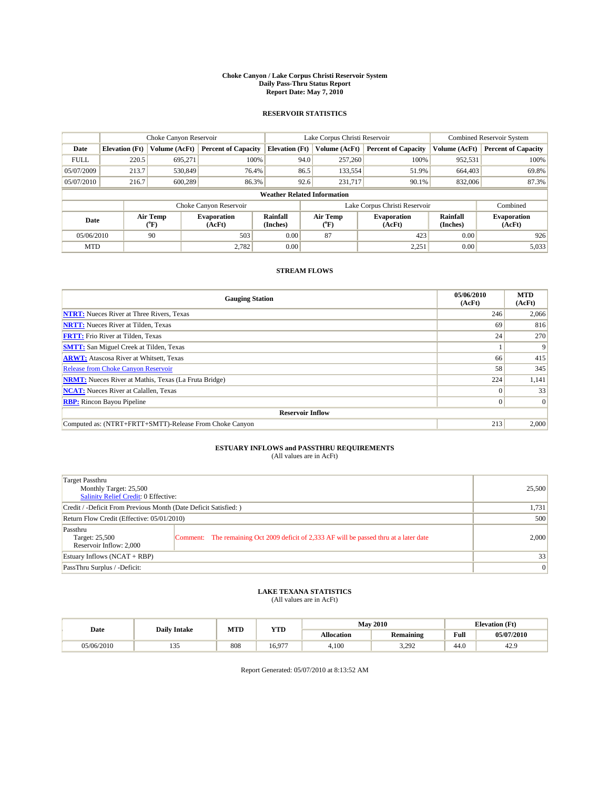#### **Choke Canyon / Lake Corpus Christi Reservoir System Daily Pass-Thru Status Report Report Date: May 7, 2010**

## **RESERVOIR STATISTICS**

|             | Choke Canyon Reservoir |                             |                              |                                    | Lake Corpus Christi Reservoir | <b>Combined Reservoir System</b> |                      |                              |
|-------------|------------------------|-----------------------------|------------------------------|------------------------------------|-------------------------------|----------------------------------|----------------------|------------------------------|
| Date        | <b>Elevation</b> (Ft)  | Volume (AcFt)               | <b>Percent of Capacity</b>   | <b>Elevation</b> (Ft)              | Volume (AcFt)                 | <b>Percent of Capacity</b>       | Volume (AcFt)        | <b>Percent of Capacity</b>   |
| <b>FULL</b> | 220.5                  | 695,271                     | 100%                         |                                    | 94.0<br>257,260               | 100%                             | 952,531              | 100%                         |
| 05/07/2009  | 213.7                  | 530,849                     | 76.4%                        |                                    | 86.5<br>133,554               | 51.9%                            | 664,403              | 69.8%                        |
| 05/07/2010  | 216.7                  | 600.289                     | 86.3%                        |                                    | 92.6<br>231,717               | 90.1%                            | 832,006              | 87.3%                        |
|             |                        |                             |                              | <b>Weather Related Information</b> |                               |                                  |                      |                              |
|             |                        |                             | Choke Canyon Reservoir       |                                    |                               | Lake Corpus Christi Reservoir    |                      | Combined                     |
| Date        |                        | Air Temp<br>${}^{\circ}$ F) | <b>Evaporation</b><br>(AcFt) | <b>Rainfall</b><br>(Inches)        | Air Temp<br>$(^{\circ}F)$     | <b>Evaporation</b><br>(AcFt)     | Rainfall<br>(Inches) | <b>Evaporation</b><br>(AcFt) |
| 05/06/2010  |                        | 90                          | 503                          | 0.00                               | 87                            | 423                              | 0.00                 | 926                          |
| <b>MTD</b>  |                        |                             | 2,782                        | 0.00                               |                               | 2,251                            | 0.00                 | 5,033                        |

## **STREAM FLOWS**

| <b>Gauging Station</b>                                       | 05/06/2010<br>(AcFt) | <b>MTD</b><br>(AcFt) |  |  |  |  |
|--------------------------------------------------------------|----------------------|----------------------|--|--|--|--|
| <b>NTRT:</b> Nueces River at Three Rivers, Texas             | 246                  | 2,066                |  |  |  |  |
| <b>NRTT:</b> Nueces River at Tilden, Texas                   | 69                   | 816                  |  |  |  |  |
| <b>FRTT:</b> Frio River at Tilden, Texas                     | 24                   | 270                  |  |  |  |  |
| <b>SMTT:</b> San Miguel Creek at Tilden, Texas               |                      | 9                    |  |  |  |  |
| <b>ARWT:</b> Atascosa River at Whitsett, Texas               | 66                   | 415                  |  |  |  |  |
| Release from Choke Canyon Reservoir                          | 58                   | 345                  |  |  |  |  |
| <b>NRMT:</b> Nueces River at Mathis, Texas (La Fruta Bridge) | 224                  | 1,141                |  |  |  |  |
| <b>NCAT:</b> Nueces River at Calallen, Texas                 | $\Omega$             | 33                   |  |  |  |  |
| <b>RBP:</b> Rincon Bayou Pipeline                            | $\overline{0}$       | $\Omega$             |  |  |  |  |
| <b>Reservoir Inflow</b>                                      |                      |                      |  |  |  |  |
| Computed as: (NTRT+FRTT+SMTT)-Release From Choke Canyon      | 213                  | 2,000                |  |  |  |  |

# **ESTUARY INFLOWS and PASSTHRU REQUIREMENTS**<br>(All values are in AcFt)

| Target Passthru<br>Monthly Target: 25,500<br><b>Salinity Relief Credit: 0 Effective:</b> |                                                                                         | 25,500 |
|------------------------------------------------------------------------------------------|-----------------------------------------------------------------------------------------|--------|
| Credit / -Deficit From Previous Month (Date Deficit Satisfied: )                         |                                                                                         | 1,731  |
| Return Flow Credit (Effective: 05/01/2010)                                               |                                                                                         | 500    |
| Passthru<br>Target: 25,500<br>Reservoir Inflow: 2,000                                    | Comment: The remaining Oct 2009 deficit of 2,333 AF will be passed thru at a later date | 2,000  |
| Estuary Inflows $(NCAT + RBP)$                                                           |                                                                                         | 33     |
| PassThru Surplus / -Deficit:                                                             |                                                                                         | 0      |

## **LAKE TEXANA STATISTICS** (All values are in AcFt)

|            | <b>Daily Intake</b>          | MTD | <b>YTD</b> | <b>May 2010</b> |                       |                                             | <b>Elevation</b> (Ft) |
|------------|------------------------------|-----|------------|-----------------|-----------------------|---------------------------------------------|-----------------------|
| Date       |                              |     |            | Allocation      | Remaining             | Full<br>the contract of the contract of the | 05/07/2010            |
| 05/06/2010 | $\sim$ $\sim$<br>$1 - 1 - 1$ | 808 | 16.977     | 4.100           | 292<br>J. <i>LJ L</i> | 44.0                                        | 42.9                  |

Report Generated: 05/07/2010 at 8:13:52 AM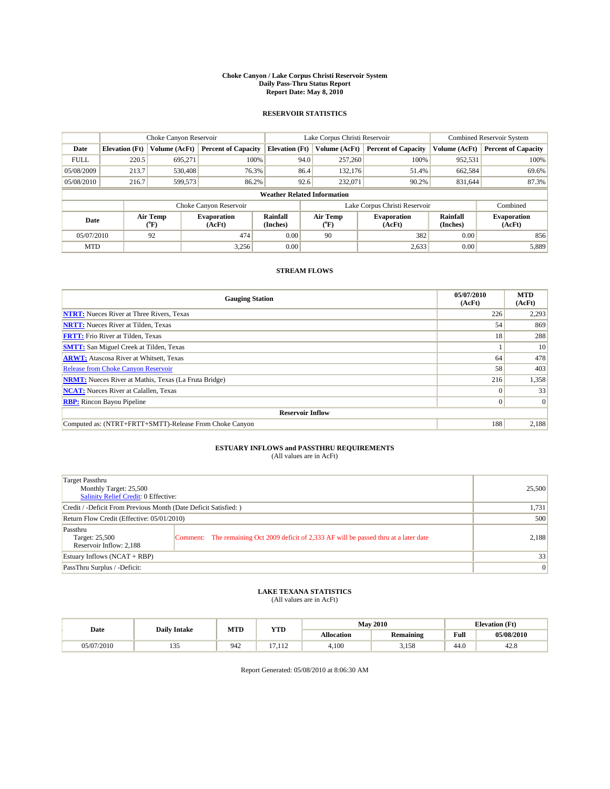#### **Choke Canyon / Lake Corpus Christi Reservoir System Daily Pass-Thru Status Report Report Date: May 8, 2010**

## **RESERVOIR STATISTICS**

|             | Choke Canyon Reservoir |                             |                              |                             | Lake Corpus Christi Reservoir      | Combined Reservoir System     |                      |                              |
|-------------|------------------------|-----------------------------|------------------------------|-----------------------------|------------------------------------|-------------------------------|----------------------|------------------------------|
| Date        | <b>Elevation</b> (Ft)  | Volume (AcFt)               | <b>Percent of Capacity</b>   | <b>Elevation</b> (Ft)       | Volume (AcFt)                      | <b>Percent of Capacity</b>    | Volume (AcFt)        | <b>Percent of Capacity</b>   |
| <b>FULL</b> | 220.5                  | 695,271                     | 100%                         |                             | 257,260<br>94.0                    | 100%                          | 952,531              | 100%                         |
| 05/08/2009  | 213.7                  | 530,408                     | 76.3%                        |                             | 86.4<br>132,176                    | 51.4%                         | 662,584              | 69.6%                        |
| 05/08/2010  | 216.7                  | 599,573                     | 86.2%                        |                             | 92.6<br>232,071                    | 90.2%                         | 831.644              | 87.3%                        |
|             |                        |                             |                              |                             | <b>Weather Related Information</b> |                               |                      |                              |
|             |                        |                             | Choke Canyon Reservoir       |                             |                                    | Lake Corpus Christi Reservoir |                      | Combined                     |
| Date        |                        | Air Temp<br>${}^{\circ}$ F) | <b>Evaporation</b><br>(AcFt) | <b>Rainfall</b><br>(Inches) | Air Temp<br>(°F)                   | <b>Evaporation</b><br>(AcFt)  | Rainfall<br>(Inches) | <b>Evaporation</b><br>(AcFt) |
| 05/07/2010  |                        | 92                          | 474                          | 0.00                        | 90                                 | 382                           | 0.00                 | 856                          |
| <b>MTD</b>  |                        |                             | 3,256                        | 0.00                        |                                    | 2,633                         | 0.00                 | 5,889                        |

## **STREAM FLOWS**

| <b>Gauging Station</b>                                       | 05/07/2010<br>(AcFt) | <b>MTD</b><br>(AcFt) |  |  |  |  |
|--------------------------------------------------------------|----------------------|----------------------|--|--|--|--|
| <b>NTRT:</b> Nueces River at Three Rivers, Texas             | 226                  | 2,293                |  |  |  |  |
| <b>NRTT:</b> Nueces River at Tilden, Texas                   | 54                   | 869                  |  |  |  |  |
| <b>FRTT:</b> Frio River at Tilden, Texas                     | 18                   | 288                  |  |  |  |  |
| <b>SMTT:</b> San Miguel Creek at Tilden, Texas               |                      | 10                   |  |  |  |  |
| <b>ARWT:</b> Atascosa River at Whitsett, Texas               | 64                   | 478                  |  |  |  |  |
| <b>Release from Choke Canyon Reservoir</b>                   | 58                   | 403                  |  |  |  |  |
| <b>NRMT:</b> Nueces River at Mathis, Texas (La Fruta Bridge) | 216                  | 1,358                |  |  |  |  |
| <b>NCAT:</b> Nueces River at Calallen, Texas                 | $\Omega$             | 33                   |  |  |  |  |
| <b>RBP:</b> Rincon Bayou Pipeline                            | $\overline{0}$       | $\Omega$             |  |  |  |  |
| <b>Reservoir Inflow</b>                                      |                      |                      |  |  |  |  |
| Computed as: (NTRT+FRTT+SMTT)-Release From Choke Canyon      | 188                  | 2,188                |  |  |  |  |

# **ESTUARY INFLOWS and PASSTHRU REQUIREMENTS**<br>(All values are in AcFt)

| <b>Target Passthru</b><br>Monthly Target: 25,500<br><b>Salinity Relief Credit: 0 Effective:</b> |                                                                                         | 25,500 |
|-------------------------------------------------------------------------------------------------|-----------------------------------------------------------------------------------------|--------|
| Credit / -Deficit From Previous Month (Date Deficit Satisfied: )                                |                                                                                         | 1,731  |
| Return Flow Credit (Effective: 05/01/2010)                                                      |                                                                                         | 500    |
| Passthru<br>Target: 25,500<br>Reservoir Inflow: 2,188                                           | Comment: The remaining Oct 2009 deficit of 2,333 AF will be passed thru at a later date | 2,188  |
| Estuary Inflows $(NCAT + RBP)$                                                                  |                                                                                         | 33     |
| PassThru Surplus / -Deficit:                                                                    |                                                                                         | 0      |

## **LAKE TEXANA STATISTICS** (All values are in AcFt)

|            | <b>Daily Intake</b> | MTD | <b>YTD</b>                     | <b>May 2010</b> |                  |                                                    | <b>Elevation</b> (Ft) |
|------------|---------------------|-----|--------------------------------|-----------------|------------------|----------------------------------------------------|-----------------------|
| Date       |                     |     |                                | Allocation      | <b>Remaining</b> | <b>Full</b><br>the contract of the contract of the | 05/08/2010            |
| 05/07/2010 | $\sim$<br>1 J J     | 942 | $\overline{ }$<br>110<br>1.112 | 4,100           | 3.158            | 44.0                                               | ه مه<br>42.8          |

Report Generated: 05/08/2010 at 8:06:30 AM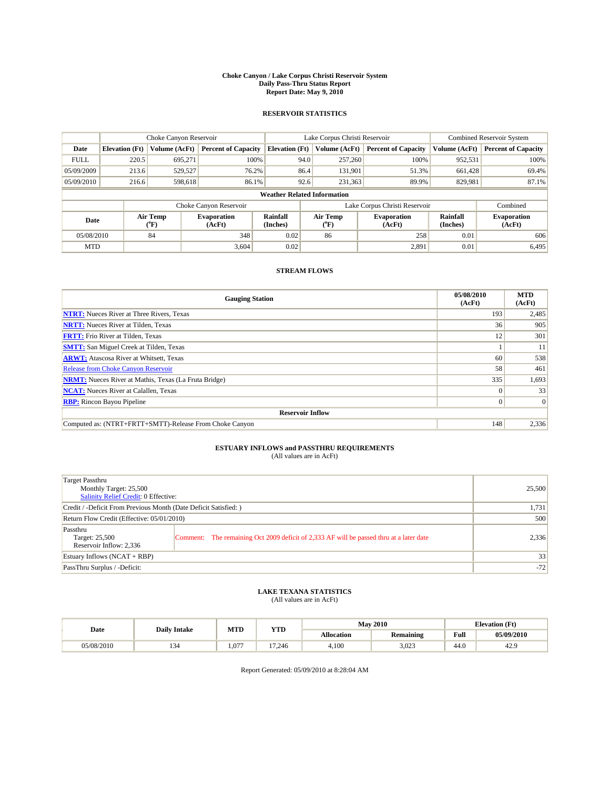#### **Choke Canyon / Lake Corpus Christi Reservoir System Daily Pass-Thru Status Report Report Date: May 9, 2010**

## **RESERVOIR STATISTICS**

|             | Choke Canyon Reservoir |                  |                              |                             | Lake Corpus Christi Reservoir      |                               | <b>Combined Reservoir System</b> |                              |
|-------------|------------------------|------------------|------------------------------|-----------------------------|------------------------------------|-------------------------------|----------------------------------|------------------------------|
| Date        | <b>Elevation</b> (Ft)  | Volume (AcFt)    | <b>Percent of Capacity</b>   | <b>Elevation</b> (Ft)       | Volume (AcFt)                      | <b>Percent of Capacity</b>    | Volume (AcFt)                    | <b>Percent of Capacity</b>   |
| <b>FULL</b> | 220.5                  | 695,271          | 100%                         |                             | 94.0<br>257,260                    | 100%                          | 952,531                          | 100%                         |
| 05/09/2009  | 213.6                  | 529,527          | 76.2%                        |                             | 86.4<br>131,901                    | 51.3%                         | 661,428                          | 69.4%                        |
| 05/09/2010  | 216.6                  | 598,618          | 86.1%                        |                             | 92.6<br>231,363                    | 89.9%                         | 829,981                          | 87.1%                        |
|             |                        |                  |                              |                             | <b>Weather Related Information</b> |                               |                                  |                              |
|             |                        |                  | Choke Canyon Reservoir       |                             |                                    | Lake Corpus Christi Reservoir |                                  | Combined                     |
| Date        |                        | Air Temp<br>(°F) | <b>Evaporation</b><br>(AcFt) | <b>Rainfall</b><br>(Inches) | Air Temp<br>(°F)                   | <b>Evaporation</b><br>(AcFt)  | Rainfall<br>(Inches)             | <b>Evaporation</b><br>(AcFt) |
| 05/08/2010  |                        | 84               | 348                          | 0.02                        | 86                                 | 258                           | 0.01                             | 606                          |
| <b>MTD</b>  |                        |                  | 3,604                        | 0.02                        |                                    | 2,891                         | 0.01                             | 6.495                        |

## **STREAM FLOWS**

| <b>Gauging Station</b>                                       | 05/08/2010<br>(AcFt) | <b>MTD</b><br>(AcFt) |
|--------------------------------------------------------------|----------------------|----------------------|
| <b>NTRT:</b> Nueces River at Three Rivers, Texas             | 193                  | 2,485                |
| <b>NRTT:</b> Nueces River at Tilden, Texas                   | 36                   | 905                  |
| <b>FRTT:</b> Frio River at Tilden, Texas                     | 12                   | 301                  |
| <b>SMTT:</b> San Miguel Creek at Tilden, Texas               |                      | 11                   |
| <b>ARWT:</b> Atascosa River at Whitsett, Texas               | 60                   | 538                  |
| <b>Release from Choke Canyon Reservoir</b>                   | 58                   | 461                  |
| <b>NRMT:</b> Nueces River at Mathis, Texas (La Fruta Bridge) | 335                  | 1,693                |
| <b>NCAT:</b> Nueces River at Calallen, Texas                 | $\Omega$             | 33                   |
| <b>RBP:</b> Rincon Bayou Pipeline                            | $\overline{0}$       | $\Omega$             |
| <b>Reservoir Inflow</b>                                      |                      |                      |
| Computed as: (NTRT+FRTT+SMTT)-Release From Choke Canyon      | 148                  | 2,336                |

# **ESTUARY INFLOWS and PASSTHRU REQUIREMENTS**<br>(All values are in AcFt)

| Target Passthru<br>Monthly Target: 25,500<br>Salinity Relief Credit: 0 Effective: |                                                                                         | 25,500 |
|-----------------------------------------------------------------------------------|-----------------------------------------------------------------------------------------|--------|
| Credit / -Deficit From Previous Month (Date Deficit Satisfied: )                  |                                                                                         | 1,731  |
| Return Flow Credit (Effective: 05/01/2010)                                        |                                                                                         | 500    |
| Passthru<br>Target: 25,500<br>Reservoir Inflow: 2,336                             | Comment: The remaining Oct 2009 deficit of 2,333 AF will be passed thru at a later date | 2,336  |
| Estuary Inflows $(NCAT + RBP)$                                                    |                                                                                         | 33     |
| PassThru Surplus / -Deficit:                                                      |                                                                                         | $-72$  |

# **LAKE TEXANA STATISTICS** (All values are in AcFt)

|            | <b>Daily Intake</b> | MTD   | <b>YTD</b> | <b>May 2010</b> |           |                                             | <b>Elevation</b> (Ft) |
|------------|---------------------|-------|------------|-----------------|-----------|---------------------------------------------|-----------------------|
| Date       |                     |       |            | Allocation      | Remaining | Full<br>the contract of the contract of the | 05/09/2010            |
| 05/08/2010 | ىن د                | 1.077 | 17.246     | 4.100           | 3,023     | 44.0                                        | 42.9                  |

Report Generated: 05/09/2010 at 8:28:04 AM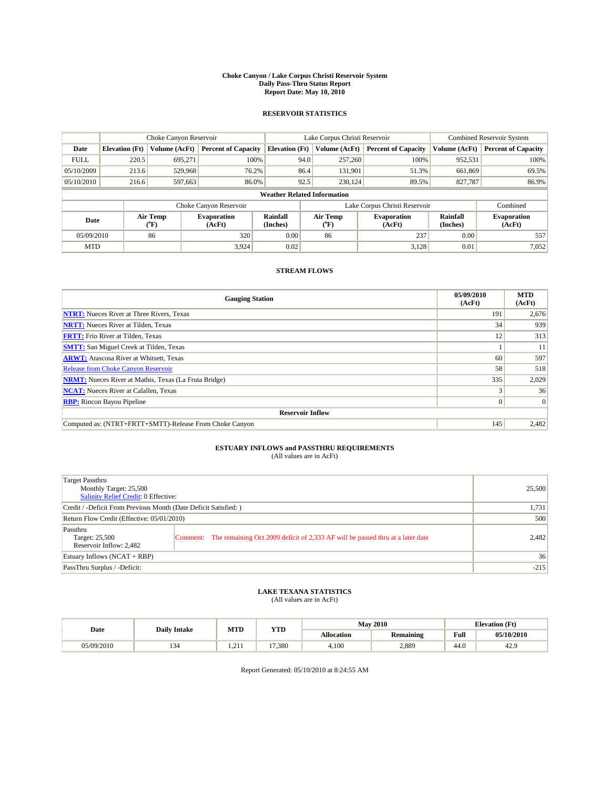#### **Choke Canyon / Lake Corpus Christi Reservoir System Daily Pass-Thru Status Report Report Date: May 10, 2010**

## **RESERVOIR STATISTICS**

|             | Choke Canyon Reservoir |                                           |                              |                                    | Lake Corpus Christi Reservoir | <b>Combined Reservoir System</b> |                      |                              |
|-------------|------------------------|-------------------------------------------|------------------------------|------------------------------------|-------------------------------|----------------------------------|----------------------|------------------------------|
| Date        | <b>Elevation</b> (Ft)  | Volume (AcFt)                             | <b>Percent of Capacity</b>   | <b>Elevation</b> (Ft)              | Volume (AcFt)                 | <b>Percent of Capacity</b>       | Volume (AcFt)        | <b>Percent of Capacity</b>   |
| <b>FULL</b> | 220.5                  | 695,271                                   | 100%                         | 94.0                               | 257,260                       | 100%                             | 952,531              | 100%                         |
| 05/10/2009  | 213.6                  | 529,968                                   | 76.2%                        | 86.4                               | 131,901                       | 51.3%                            | 661,869              | 69.5%                        |
| 05/10/2010  | 216.6                  | 597,663                                   | 86.0%                        | 92.5                               | 230,124                       | 89.5%                            | 827,787              | 86.9%                        |
|             |                        |                                           |                              | <b>Weather Related Information</b> |                               |                                  |                      |                              |
|             |                        |                                           | Choke Canyon Reservoir       |                                    | Lake Corpus Christi Reservoir |                                  |                      | Combined                     |
| Date        |                        | Air Temp<br>$({}^{\mathrm{o}}\mathrm{F})$ | <b>Evaporation</b><br>(AcFt) | Rainfall<br>(Inches)               | Air Temp<br>(°F)              | <b>Evaporation</b><br>(AcFt)     | Rainfall<br>(Inches) | <b>Evaporation</b><br>(AcFt) |
| 05/09/2010  |                        | 86                                        | 320                          | 0.00                               | 86                            | 237                              | 0.00                 | 557                          |
| <b>MTD</b>  |                        |                                           | 3.924                        | 0.02                               |                               | 3.128                            | 0.01                 | 7,052                        |

## **STREAM FLOWS**

| <b>Gauging Station</b>                                       | 05/09/2010<br>(AcFt) | <b>MTD</b><br>(AcFt) |
|--------------------------------------------------------------|----------------------|----------------------|
| <b>NTRT:</b> Nueces River at Three Rivers, Texas             | 191                  | 2,676                |
| <b>NRTT:</b> Nueces River at Tilden, Texas                   | 34                   | 939                  |
| <b>FRTT:</b> Frio River at Tilden, Texas                     | 12                   | 313                  |
| <b>SMTT:</b> San Miguel Creek at Tilden, Texas               |                      | 11                   |
| <b>ARWT:</b> Atascosa River at Whitsett, Texas               | 60                   | 597                  |
| <b>Release from Choke Canyon Reservoir</b>                   | 58                   | 518                  |
| <b>NRMT:</b> Nueces River at Mathis, Texas (La Fruta Bridge) | 335                  | 2,029                |
| <b>NCAT:</b> Nueces River at Calallen, Texas                 |                      | 36                   |
| <b>RBP:</b> Rincon Bayou Pipeline                            | $\overline{0}$       | $\Omega$             |
| <b>Reservoir Inflow</b>                                      |                      |                      |
| Computed as: (NTRT+FRTT+SMTT)-Release From Choke Canyon      | 145                  | 2,482                |

# **ESTUARY INFLOWS and PASSTHRU REQUIREMENTS**<br>(All values are in AcFt)

| Target Passthru<br>Monthly Target: 25,500<br>Salinity Relief Credit: 0 Effective: |                                                                                         | 25,500 |  |  |
|-----------------------------------------------------------------------------------|-----------------------------------------------------------------------------------------|--------|--|--|
| Credit / -Deficit From Previous Month (Date Deficit Satisfied: )                  |                                                                                         |        |  |  |
| Return Flow Credit (Effective: 05/01/2010)                                        |                                                                                         | 500    |  |  |
| Passthru<br>Target: 25,500<br>Reservoir Inflow: 2,482                             | Comment: The remaining Oct 2009 deficit of 2,333 AF will be passed thru at a later date | 2,482  |  |  |
| Estuary Inflows (NCAT + RBP)                                                      |                                                                                         | 36     |  |  |
| PassThru Surplus / -Deficit:                                                      | $-215$                                                                                  |        |  |  |

# **LAKE TEXANA STATISTICS** (All values are in AcFt)

|            | <b>Daily Intake</b> | MTD      | <b>YTD</b>  | <b>May 2010</b>   |                  |      | <b>Elevation</b> (Ft) |
|------------|---------------------|----------|-------------|-------------------|------------------|------|-----------------------|
| Date       |                     |          |             | <b>Allocation</b> | <b>Remaining</b> | Full | 05/10/2010            |
| 05/09/2010 | سور                 | 211<br>. | 7.380<br>17 | 4,100             | 2,889            | 44.0 | 42.9                  |

Report Generated: 05/10/2010 at 8:24:55 AM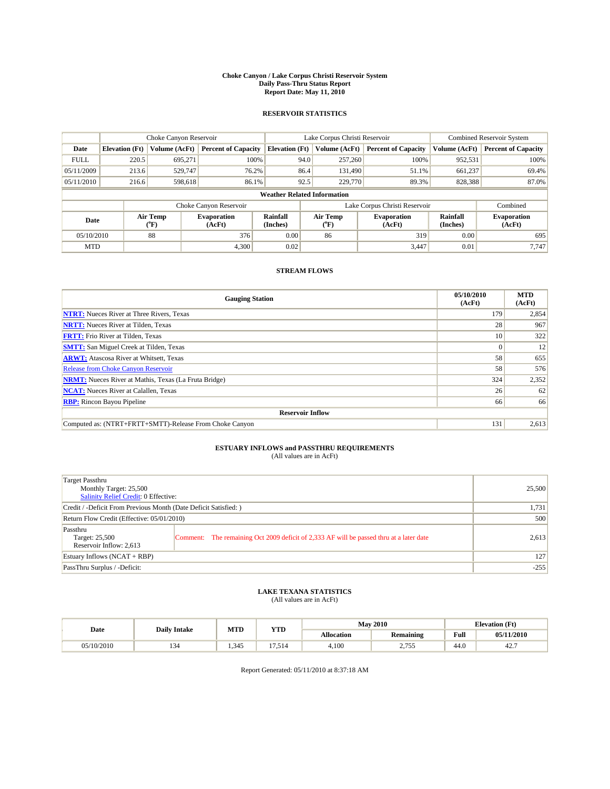#### **Choke Canyon / Lake Corpus Christi Reservoir System Daily Pass-Thru Status Report Report Date: May 11, 2010**

## **RESERVOIR STATISTICS**

|             | Choke Canyon Reservoir |                  |                              |                                    | Lake Corpus Christi Reservoir | <b>Combined Reservoir System</b> |                      |                              |
|-------------|------------------------|------------------|------------------------------|------------------------------------|-------------------------------|----------------------------------|----------------------|------------------------------|
| Date        | <b>Elevation</b> (Ft)  | Volume (AcFt)    | <b>Percent of Capacity</b>   | <b>Elevation</b> (Ft)              | Volume (AcFt)                 | <b>Percent of Capacity</b>       | Volume (AcFt)        | <b>Percent of Capacity</b>   |
| <b>FULL</b> | 220.5                  | 695,271          | 100%                         | 94.0                               | 257,260                       | 100%                             | 952,531              | 100%                         |
| 05/11/2009  | 213.6                  | 529,747          | 76.2%                        | 86.4                               | 131,490                       | 51.1%                            | 661,237              | 69.4%                        |
| 05/11/2010  | 216.6                  | 598,618          | 86.1%                        | 92.5                               | 229,770                       | 89.3%                            | 828,388              | 87.0%                        |
|             |                        |                  |                              | <b>Weather Related Information</b> |                               |                                  |                      |                              |
|             |                        |                  | Choke Canyon Reservoir       |                                    | Lake Corpus Christi Reservoir |                                  |                      | Combined                     |
| Date        |                        | Air Temp<br>(°F) | <b>Evaporation</b><br>(AcFt) | Rainfall<br>(Inches)               | Air Temp<br>("F)              | <b>Evaporation</b><br>(AcFt)     | Rainfall<br>(Inches) | <b>Evaporation</b><br>(AcFt) |
| 05/10/2010  |                        | 88               | 376                          | 0.00                               | 86                            | 319                              | 0.00                 | 695                          |
| <b>MTD</b>  |                        |                  | 4,300                        | 0.02                               |                               | 3,447                            | 0.01                 | 7.747                        |

## **STREAM FLOWS**

| <b>Gauging Station</b>                                       | 05/10/2010<br>(AcFt) | <b>MTD</b><br>(AcFt) |  |  |  |  |
|--------------------------------------------------------------|----------------------|----------------------|--|--|--|--|
| <b>NTRT:</b> Nueces River at Three Rivers, Texas             | 179                  | 2,854                |  |  |  |  |
| <b>NRTT:</b> Nueces River at Tilden, Texas                   | 28                   | 967                  |  |  |  |  |
| <b>FRTT:</b> Frio River at Tilden, Texas                     | 10 <sup>1</sup>      | 322                  |  |  |  |  |
| <b>SMTT:</b> San Miguel Creek at Tilden, Texas               | $\Omega$             | 12                   |  |  |  |  |
| <b>ARWT:</b> Atascosa River at Whitsett, Texas               | 58                   | 655                  |  |  |  |  |
| <b>Release from Choke Canyon Reservoir</b>                   | 58                   | 576                  |  |  |  |  |
| <b>NRMT:</b> Nueces River at Mathis, Texas (La Fruta Bridge) | 324                  | 2,352                |  |  |  |  |
| <b>NCAT:</b> Nueces River at Calallen, Texas                 | 26                   | 62                   |  |  |  |  |
| <b>RBP:</b> Rincon Bayou Pipeline                            | 66                   | 66                   |  |  |  |  |
| <b>Reservoir Inflow</b>                                      |                      |                      |  |  |  |  |
| Computed as: (NTRT+FRTT+SMTT)-Release From Choke Canyon      | 131                  | 2,613                |  |  |  |  |

# **ESTUARY INFLOWS and PASSTHRU REQUIREMENTS**<br>(All values are in AcFt)

| Target Passthru<br>Monthly Target: 25,500<br><b>Salinity Relief Credit: 0 Effective:</b> |                                                                                         | 25,500 |
|------------------------------------------------------------------------------------------|-----------------------------------------------------------------------------------------|--------|
| Credit / -Deficit From Previous Month (Date Deficit Satisfied: )                         | 1,731                                                                                   |        |
| Return Flow Credit (Effective: 05/01/2010)                                               | 500                                                                                     |        |
| Passthru<br>Target: 25,500<br>Reservoir Inflow: 2,613                                    | Comment: The remaining Oct 2009 deficit of 2,333 AF will be passed thru at a later date | 2,613  |
| Estuary Inflows $(NCAT + RBP)$                                                           |                                                                                         | 127    |
| PassThru Surplus / -Deficit:                                                             |                                                                                         | $-255$ |

## **LAKE TEXANA STATISTICS** (All values are in AcFt)

|            | <b>Daily Intake</b> | MTD   | <b>YTD</b>  | <b>May 2010</b>   |                    |      | <b>Elevation</b> (Ft) |
|------------|---------------------|-------|-------------|-------------------|--------------------|------|-----------------------|
| Date       |                     |       |             | <b>Allocation</b> | <b>Remaining</b>   | Full | 05/11/2010            |
| 05/10/2010 | ىر د                | 1.345 | --<br>7.514 | 4,100             | 755<br>ر ر ، ، ، ، | 44.0 | 42.,                  |

Report Generated: 05/11/2010 at 8:37:18 AM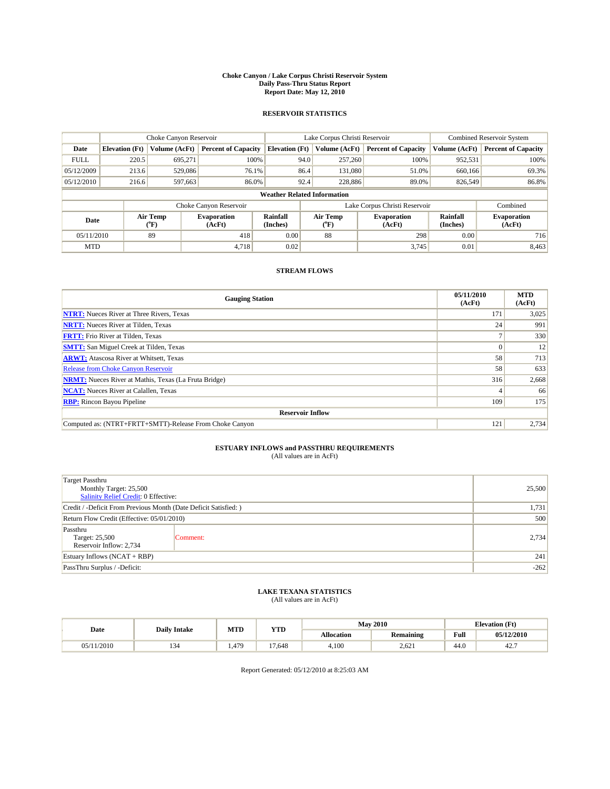#### **Choke Canyon / Lake Corpus Christi Reservoir System Daily Pass-Thru Status Report Report Date: May 12, 2010**

## **RESERVOIR STATISTICS**

|             | Choke Canyon Reservoir |                  |                              |                                    | Lake Corpus Christi Reservoir | Combined Reservoir System    |                      |                              |
|-------------|------------------------|------------------|------------------------------|------------------------------------|-------------------------------|------------------------------|----------------------|------------------------------|
| Date        | <b>Elevation</b> (Ft)  | Volume (AcFt)    | <b>Percent of Capacity</b>   | <b>Elevation (Ft)</b>              | Volume (AcFt)                 | <b>Percent of Capacity</b>   | Volume (AcFt)        | <b>Percent of Capacity</b>   |
| <b>FULL</b> | 220.5                  | 695,271          | 100%                         |                                    | 257,260<br>94.0               | 100%                         | 952,531              | 100%                         |
| 05/12/2009  | 213.6                  | 529,086          | 76.1%                        |                                    | 86.4<br>131,080               | 51.0%                        | 660,166              | 69.3%                        |
| 05/12/2010  | 216.6                  | 597,663          | 86.0%                        | 92.4                               | 228,886                       | 89.0%                        | 826,549              | 86.8%                        |
|             |                        |                  |                              | <b>Weather Related Information</b> |                               |                              |                      |                              |
|             |                        |                  | Choke Canyon Reservoir       |                                    | Lake Corpus Christi Reservoir |                              |                      | Combined                     |
| Date        |                        | Air Temp<br>(°F) | <b>Evaporation</b><br>(AcFt) | Rainfall<br>(Inches)               | Air Temp<br>("F)              | <b>Evaporation</b><br>(AcFt) | Rainfall<br>(Inches) | <b>Evaporation</b><br>(AcFt) |
| 05/11/2010  |                        | 89               | 418                          | 0.00                               | 88                            | 298                          | 0.00                 | 716                          |
| <b>MTD</b>  |                        |                  | 4.718                        | 0.02                               |                               | 3,745                        | 0.01                 | 8,463                        |

## **STREAM FLOWS**

| <b>Gauging Station</b>                                       | 05/11/2010<br>(AcFt) | <b>MTD</b><br>(AcFt) |  |  |  |  |
|--------------------------------------------------------------|----------------------|----------------------|--|--|--|--|
| <b>NTRT:</b> Nueces River at Three Rivers, Texas             | 171                  | 3,025                |  |  |  |  |
| <b>NRTT:</b> Nueces River at Tilden, Texas                   | 24                   | 991                  |  |  |  |  |
| <b>FRTT:</b> Frio River at Tilden, Texas                     |                      | 330                  |  |  |  |  |
| <b>SMTT:</b> San Miguel Creek at Tilden, Texas               | $\theta$             | 12                   |  |  |  |  |
| <b>ARWT:</b> Atascosa River at Whitsett, Texas               | 58                   | 713                  |  |  |  |  |
| <b>Release from Choke Canyon Reservoir</b>                   | 58                   | 633                  |  |  |  |  |
| <b>NRMT:</b> Nueces River at Mathis, Texas (La Fruta Bridge) | 316                  | 2,668                |  |  |  |  |
| <b>NCAT:</b> Nueces River at Calallen, Texas                 |                      | 66                   |  |  |  |  |
| <b>RBP:</b> Rincon Bayou Pipeline                            | 109                  | 175                  |  |  |  |  |
| <b>Reservoir Inflow</b>                                      |                      |                      |  |  |  |  |
| Computed as: (NTRT+FRTT+SMTT)-Release From Choke Canyon      | 121                  | 2,734                |  |  |  |  |

# **ESTUARY INFLOWS and PASSTHRU REQUIREMENTS**<br>(All values are in AcFt)

| <b>Target Passthru</b><br>Monthly Target: 25,500<br>Salinity Relief Credit: 0 Effective: | 25,500   |       |
|------------------------------------------------------------------------------------------|----------|-------|
| Credit / -Deficit From Previous Month (Date Deficit Satisfied: )                         | 1,731    |       |
| Return Flow Credit (Effective: 05/01/2010)                                               | 500      |       |
| Passthru<br>Target: 25,500<br>Reservoir Inflow: 2,734                                    | Comment: | 2,734 |
| Estuary Inflows (NCAT + RBP)                                                             | 241      |       |
| PassThru Surplus / -Deficit:                                                             | $-262$   |       |

## **LAKE TEXANA STATISTICS** (All values are in AcFt)

| <b>Daily Intake</b> |                | MTD   | <b>YTD</b>    |                   | <b>May 2010</b>  | <b>Elevation</b> (Ft) |            |
|---------------------|----------------|-------|---------------|-------------------|------------------|-----------------------|------------|
| Date                |                |       |               | <b>Allocation</b> | <b>Remaining</b> | Full                  | 05/12/2010 |
| 05/11/2010          | $\sim$<br>54 د | 1.479 | $1 -$<br>.648 | 4,100             | 2.621            | 44.0                  | 42.7       |

Report Generated: 05/12/2010 at 8:25:03 AM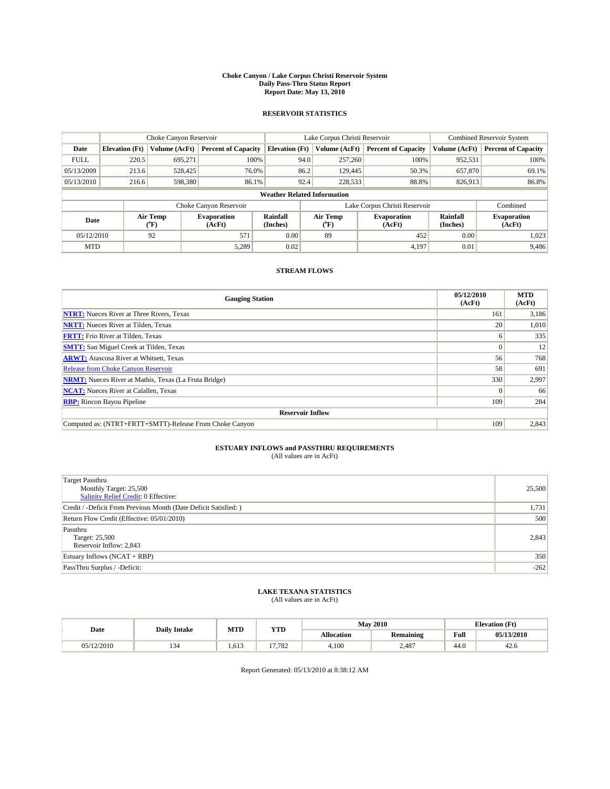#### **Choke Canyon / Lake Corpus Christi Reservoir System Daily Pass-Thru Status Report Report Date: May 13, 2010**

## **RESERVOIR STATISTICS**

|             |                       | Choke Canyon Reservoir |                              |                                    | Lake Corpus Christi Reservoir | <b>Combined Reservoir System</b> |                      |                              |
|-------------|-----------------------|------------------------|------------------------------|------------------------------------|-------------------------------|----------------------------------|----------------------|------------------------------|
| Date        | <b>Elevation</b> (Ft) | Volume (AcFt)          | <b>Percent of Capacity</b>   | <b>Elevation</b> (Ft)              | Volume (AcFt)                 | <b>Percent of Capacity</b>       | Volume (AcFt)        | <b>Percent of Capacity</b>   |
| <b>FULL</b> | 220.5                 | 695,271                | 100%                         | 94.0                               | 257,260                       | 100%                             | 952,531              | 100%                         |
| 05/13/2009  | 213.6                 | 528,425                | 76.0%                        | 86.2                               | 129,445                       | 50.3%                            | 657,870              | 69.1%                        |
| 05/13/2010  | 216.6                 | 598,380                | 86.1%                        | 92.4                               | 228,533                       | 88.8%                            | 826,913              | 86.8%                        |
|             |                       |                        |                              | <b>Weather Related Information</b> |                               |                                  |                      |                              |
|             |                       |                        | Choke Canyon Reservoir       |                                    |                               | Lake Corpus Christi Reservoir    |                      | Combined                     |
| Date        |                       | Air Temp<br>(°F)       | <b>Evaporation</b><br>(AcFt) | <b>Rainfall</b><br>(Inches)        | Air Temp<br>(°F)              | <b>Evaporation</b><br>(AcFt)     | Rainfall<br>(Inches) | <b>Evaporation</b><br>(AcFt) |
| 05/12/2010  |                       | 92                     | 571                          | 0.00                               | 89                            | 452                              | 0.00                 | 1.023                        |
| <b>MTD</b>  |                       |                        | 5.289                        | 0.02                               |                               | 4.197                            | 0.01                 | 9.486                        |

## **STREAM FLOWS**

| <b>Gauging Station</b>                                       | 05/12/2010<br>(AcFt) | <b>MTD</b><br>(AcFt) |  |  |  |  |  |
|--------------------------------------------------------------|----------------------|----------------------|--|--|--|--|--|
| <b>NTRT:</b> Nueces River at Three Rivers, Texas             | 161                  | 3,186                |  |  |  |  |  |
| <b>NRTT:</b> Nueces River at Tilden, Texas                   | 20                   | 1,010                |  |  |  |  |  |
| <b>FRTT:</b> Frio River at Tilden, Texas                     | <sub>0</sub>         | 335                  |  |  |  |  |  |
| <b>SMTT:</b> San Miguel Creek at Tilden, Texas               | $\theta$             | 12                   |  |  |  |  |  |
| <b>ARWT:</b> Atascosa River at Whitsett, Texas               | 56                   | 768                  |  |  |  |  |  |
| <b>Release from Choke Canyon Reservoir</b>                   | 58                   | 691                  |  |  |  |  |  |
| <b>NRMT:</b> Nueces River at Mathis, Texas (La Fruta Bridge) | 330                  | 2,997                |  |  |  |  |  |
| <b>NCAT:</b> Nueces River at Calallen, Texas                 | $\Omega$             | 66                   |  |  |  |  |  |
| <b>RBP:</b> Rincon Bayou Pipeline                            | 109                  | 284                  |  |  |  |  |  |
| <b>Reservoir Inflow</b>                                      |                      |                      |  |  |  |  |  |
| Computed as: (NTRT+FRTT+SMTT)-Release From Choke Canyon      | 109                  | 2,843                |  |  |  |  |  |

# **ESTUARY INFLOWS and PASSTHRU REQUIREMENTS**<br>(All values are in AcFt)

| <b>Target Passthru</b><br>Monthly Target: 25,500<br>Salinity Relief Credit: 0 Effective: | 25,500 |
|------------------------------------------------------------------------------------------|--------|
| Credit / -Deficit From Previous Month (Date Deficit Satisfied: )                         | 1,731  |
| Return Flow Credit (Effective: 05/01/2010)                                               | 500    |
| Passthru<br>Target: 25,500<br>Reservoir Inflow: 2,843                                    | 2,843  |
| Estuary Inflows (NCAT + RBP)                                                             | 350    |
| PassThru Surplus / -Deficit:                                                             | $-262$ |

## **LAKE TEXANA STATISTICS** (All values are in AcFt)

| <b>Daily Intake</b> |     | MTD   | <b>YTD</b> | <b>May 2010</b>   |                  | <b>Elevation</b> (Ft)                       |            |
|---------------------|-----|-------|------------|-------------------|------------------|---------------------------------------------|------------|
| Date                |     |       |            | <b>Allocation</b> | <b>Remaining</b> | Full<br>the contract of the contract of the | 05/13/2010 |
| 05/12/2010          | سور | 1.613 | 17.782     | 4.100             | 2.487            | 44.0                                        | 42.6       |

Report Generated: 05/13/2010 at 8:38:12 AM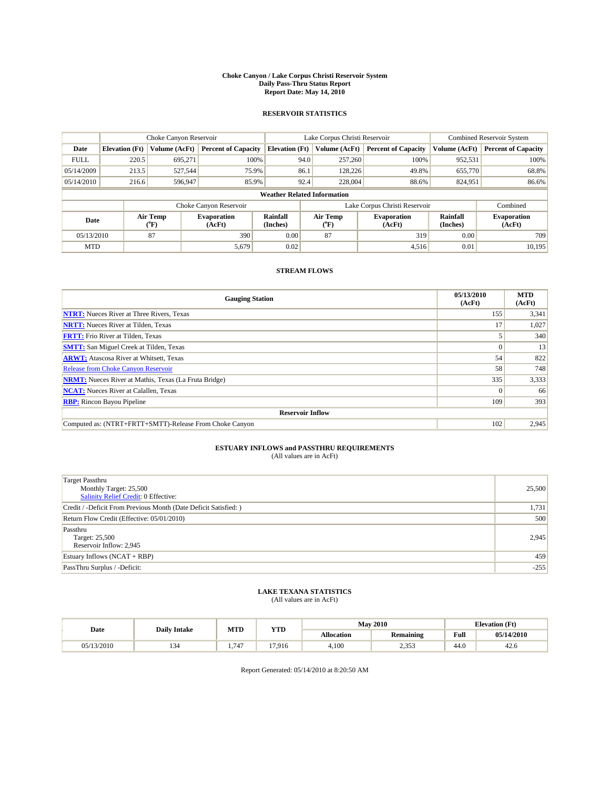#### **Choke Canyon / Lake Corpus Christi Reservoir System Daily Pass-Thru Status Report Report Date: May 14, 2010**

## **RESERVOIR STATISTICS**

|             |                       | Choke Canyon Reservoir |                              |                                    | Lake Corpus Christi Reservoir | <b>Combined Reservoir System</b> |                      |                              |
|-------------|-----------------------|------------------------|------------------------------|------------------------------------|-------------------------------|----------------------------------|----------------------|------------------------------|
| Date        | <b>Elevation</b> (Ft) | Volume (AcFt)          | <b>Percent of Capacity</b>   | <b>Elevation</b> (Ft)              | Volume (AcFt)                 | <b>Percent of Capacity</b>       | Volume (AcFt)        | <b>Percent of Capacity</b>   |
| <b>FULL</b> | 220.5                 | 695,271                | 100%                         |                                    | 94.0<br>257,260               | 100%                             | 952,531              | 100%                         |
| 05/14/2009  | 213.5                 | 527.544                | 75.9%                        | 86.1                               | 128,226                       | 49.8%                            | 655,770              | 68.8%                        |
| 05/14/2010  | 216.6                 | 596,947                | 85.9%                        |                                    | 92.4<br>228,004               | 88.6%                            | 824,951              | 86.6%                        |
|             |                       |                        |                              | <b>Weather Related Information</b> |                               |                                  |                      |                              |
|             |                       |                        | Choke Canyon Reservoir       |                                    |                               | Lake Corpus Christi Reservoir    |                      | Combined                     |
| Date        |                       | Air Temp<br>(°F)       | <b>Evaporation</b><br>(AcFt) | Rainfall<br>(Inches)               | Air Temp<br>("F)              | <b>Evaporation</b><br>(AcFt)     | Rainfall<br>(Inches) | <b>Evaporation</b><br>(AcFt) |
| 05/13/2010  |                       | 87                     | 390                          | 0.00                               | 87                            | 319                              | 0.00                 | 709                          |
| <b>MTD</b>  |                       |                        | 5,679                        | 0.02                               |                               | 4,516                            | 0.01                 | 10,195                       |

## **STREAM FLOWS**

| <b>Gauging Station</b>                                       | 05/13/2010<br>(AcFt) | <b>MTD</b><br>(AcFt) |  |  |  |  |  |
|--------------------------------------------------------------|----------------------|----------------------|--|--|--|--|--|
| <b>NTRT:</b> Nueces River at Three Rivers, Texas             | 155                  | 3,341                |  |  |  |  |  |
| <b>NRTT:</b> Nueces River at Tilden, Texas                   | 17                   | 1,027                |  |  |  |  |  |
| <b>FRTT:</b> Frio River at Tilden, Texas                     |                      | 340                  |  |  |  |  |  |
| <b>SMTT:</b> San Miguel Creek at Tilden, Texas               |                      | 13                   |  |  |  |  |  |
| <b>ARWT:</b> Atascosa River at Whitsett, Texas               | 54                   | 822                  |  |  |  |  |  |
| <b>Release from Choke Canyon Reservoir</b>                   | 58                   | 748                  |  |  |  |  |  |
| <b>NRMT:</b> Nueces River at Mathis, Texas (La Fruta Bridge) | 335                  | 3,333                |  |  |  |  |  |
| <b>NCAT:</b> Nueces River at Calallen, Texas                 |                      | 66                   |  |  |  |  |  |
| <b>RBP:</b> Rincon Bayou Pipeline                            | 109                  | 393                  |  |  |  |  |  |
| <b>Reservoir Inflow</b>                                      |                      |                      |  |  |  |  |  |
| Computed as: (NTRT+FRTT+SMTT)-Release From Choke Canyon      | 102                  | 2,945                |  |  |  |  |  |

# **ESTUARY INFLOWS and PASSTHRU REQUIREMENTS**<br>(All values are in AcFt)

| <b>Target Passthru</b><br>Monthly Target: 25,500<br><b>Salinity Relief Credit: 0 Effective:</b> | 25,500 |
|-------------------------------------------------------------------------------------------------|--------|
| Credit / -Deficit From Previous Month (Date Deficit Satisfied: )                                | 1,731  |
| Return Flow Credit (Effective: 05/01/2010)                                                      | 500    |
| Passthru<br>Target: 25,500<br>Reservoir Inflow: 2,945                                           | 2.945  |
| Estuary Inflows $(NCAT + RBP)$                                                                  | 459    |
| PassThru Surplus / -Deficit:                                                                    | $-255$ |

## **LAKE TEXANA STATISTICS** (All values are in AcFt)

| <b>Daily Intake</b> |               | MTD  | <b>YTD</b> | <b>May 2010</b> |                  | <b>Elevation</b> (Ft)                       |            |
|---------------------|---------------|------|------------|-----------------|------------------|---------------------------------------------|------------|
| Date                |               |      |            | Allocation      | <b>Remaining</b> | Full<br>the contract of the contract of the | 05/14/2010 |
| 05/13/2010          | $\sim$<br>154 | .747 | 17.916     | 4.100           | 252<br>ر ر.ر.    | 44.0                                        | 42.0       |

Report Generated: 05/14/2010 at 8:20:50 AM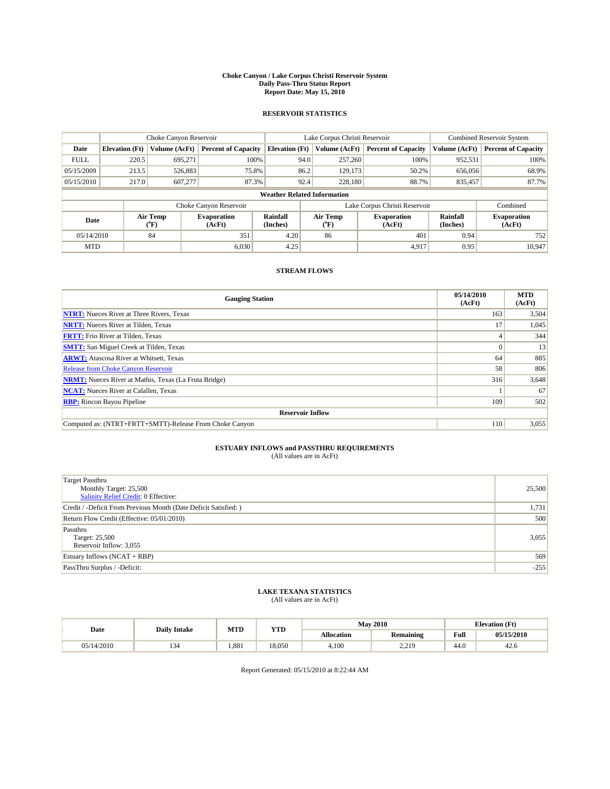#### **Choke Canyon / Lake Corpus Christi Reservoir System Daily Pass-Thru Status Report Report Date: May 15, 2010**

## **RESERVOIR STATISTICS**

|             |                                    | Choke Canyon Reservoir |                              |                       | Lake Corpus Christi Reservoir | <b>Combined Reservoir System</b> |                      |                              |  |
|-------------|------------------------------------|------------------------|------------------------------|-----------------------|-------------------------------|----------------------------------|----------------------|------------------------------|--|
| Date        | <b>Elevation</b> (Ft)              | Volume (AcFt)          | <b>Percent of Capacity</b>   | <b>Elevation</b> (Ft) | Volume (AcFt)                 | <b>Percent of Capacity</b>       | Volume (AcFt)        | <b>Percent of Capacity</b>   |  |
| <b>FULL</b> | 220.5                              | 695,271                | 100%                         | 94.0                  | 257,260                       | 100%                             | 952,531              | 100%                         |  |
| 05/15/2009  | 213.5                              | 526,883                | 75.8%                        | 86.2                  | 129,173                       | 50.2%                            | 656,056              | 68.9%                        |  |
| 05/15/2010  | 217.0                              | 607,277                | 87.3%                        | 92.4                  | 228,180                       | 88.7%                            | 835,457              | 87.7%                        |  |
|             | <b>Weather Related Information</b> |                        |                              |                       |                               |                                  |                      |                              |  |
|             |                                    |                        | Choke Canyon Reservoir       |                       |                               | Lake Corpus Christi Reservoir    |                      | Combined                     |  |
| Date        |                                    | Air Temp<br>(°F)       | <b>Evaporation</b><br>(AcFt) | Rainfall<br>(Inches)  | Air Temp<br>("F)              | <b>Evaporation</b><br>(AcFt)     | Rainfall<br>(Inches) | <b>Evaporation</b><br>(AcFt) |  |
| 05/14/2010  |                                    | 84                     | 351                          | 4.20                  | 86                            | 401                              | 0.94                 | 752                          |  |
| <b>MTD</b>  |                                    |                        | 6.030                        | 4.25                  |                               | 4.917                            | 0.95                 | 10.947                       |  |

## **STREAM FLOWS**

| <b>Gauging Station</b>                                       | 05/14/2010<br>(AcFt) | <b>MTD</b><br>(AcFt) |  |  |  |  |  |
|--------------------------------------------------------------|----------------------|----------------------|--|--|--|--|--|
| <b>NTRT:</b> Nueces River at Three Rivers, Texas             | 163                  | 3,504                |  |  |  |  |  |
| <b>NRTT:</b> Nueces River at Tilden, Texas                   | 17                   | 1,045                |  |  |  |  |  |
| <b>FRTT:</b> Frio River at Tilden, Texas                     |                      | 344                  |  |  |  |  |  |
| <b>SMTT:</b> San Miguel Creek at Tilden, Texas               | $\theta$             | 13                   |  |  |  |  |  |
| <b>ARWT:</b> Atascosa River at Whitsett, Texas               | 64                   | 885                  |  |  |  |  |  |
| <b>Release from Choke Canyon Reservoir</b>                   | 58                   | 806                  |  |  |  |  |  |
| <b>NRMT:</b> Nueces River at Mathis, Texas (La Fruta Bridge) | 316                  | 3,648                |  |  |  |  |  |
| <b>NCAT:</b> Nueces River at Calallen, Texas                 |                      | 67                   |  |  |  |  |  |
| <b>RBP:</b> Rincon Bayou Pipeline                            | 109                  | 502                  |  |  |  |  |  |
| <b>Reservoir Inflow</b>                                      |                      |                      |  |  |  |  |  |
| Computed as: (NTRT+FRTT+SMTT)-Release From Choke Canyon      | 110                  | 3,055                |  |  |  |  |  |

# **ESTUARY INFLOWS and PASSTHRU REQUIREMENTS**<br>(All values are in AcFt)

| <b>Target Passthru</b><br>Monthly Target: 25,500<br>Salinity Relief Credit: 0 Effective: | 25,500 |
|------------------------------------------------------------------------------------------|--------|
| Credit / -Deficit From Previous Month (Date Deficit Satisfied: )                         | 1,731  |
| Return Flow Credit (Effective: 05/01/2010)                                               | 500    |
| Passthru<br>Target: 25,500<br>Reservoir Inflow: 3,055                                    | 3,055  |
| Estuary Inflows (NCAT + RBP)                                                             | 569    |
| PassThru Surplus / -Deficit:                                                             | $-255$ |

## **LAKE TEXANA STATISTICS** (All values are in AcFt)

| Date       | <b>Daily Intake</b> | MTD  | <b>YTD</b> |                   | <b>May 2010</b>    | <b>Elevation</b> (Ft) |            |
|------------|---------------------|------|------------|-------------------|--------------------|-----------------------|------------|
|            |                     |      |            | <b>Allocation</b> | <b>Remaining</b>   | Full                  | 05/15/2010 |
| 05/14/2010 | ו ז                 | .881 | 18.050     | 4.100             | 220<br>ر کا سکو سک | 44.0                  | 42.0       |

Report Generated: 05/15/2010 at 8:22:44 AM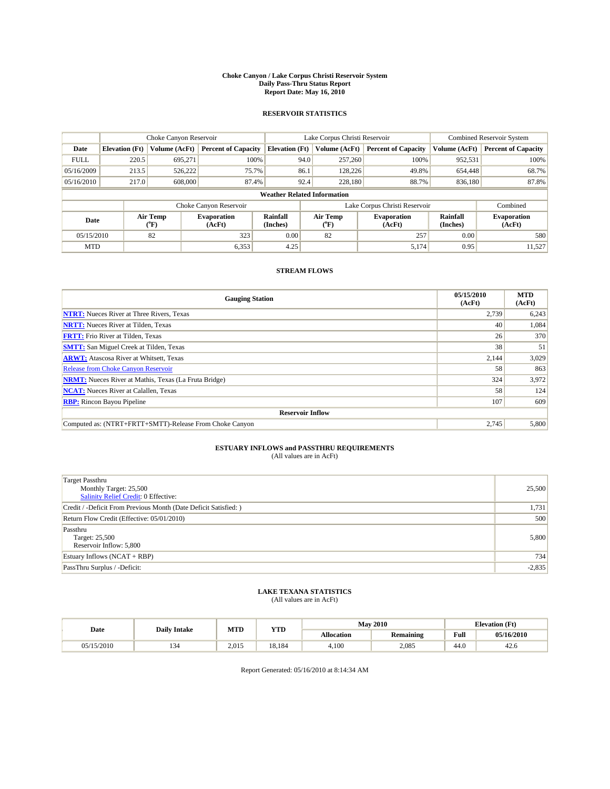#### **Choke Canyon / Lake Corpus Christi Reservoir System Daily Pass-Thru Status Report Report Date: May 16, 2010**

## **RESERVOIR STATISTICS**

|             |                                                                                          | Choke Canyon Reservoir |                            |                                    | Lake Corpus Christi Reservoir | <b>Combined Reservoir System</b> |               |                            |
|-------------|------------------------------------------------------------------------------------------|------------------------|----------------------------|------------------------------------|-------------------------------|----------------------------------|---------------|----------------------------|
| Date        | <b>Elevation</b> (Ft)                                                                    | Volume (AcFt)          | <b>Percent of Capacity</b> | <b>Elevation</b> (Ft)              | Volume (AcFt)                 | <b>Percent of Capacity</b>       | Volume (AcFt) | <b>Percent of Capacity</b> |
| <b>FULL</b> | 220.5                                                                                    | 695.271                | 100%                       | 94.0                               | 257,260                       | 100%                             | 952,531       | 100%                       |
| 05/16/2009  | 213.5                                                                                    | 526,222                | 75.7%                      | 86.1                               | 128,226                       | 49.8%                            | 654,448       | 68.7%                      |
| 05/16/2010  | 217.0                                                                                    | 608,000                | 87.4%                      | 92.4                               | 228,180                       | 88.7%                            | 836,180       | 87.8%                      |
|             |                                                                                          |                        |                            | <b>Weather Related Information</b> |                               |                                  |               |                            |
|             |                                                                                          |                        | Choke Canyon Reservoir     |                                    | Lake Corpus Christi Reservoir |                                  |               | Combined                   |
|             | Air Temp<br>Rainfall<br><b>Evaporation</b><br>Date<br>(Inches)<br>(AcFt)<br>(°F)<br>("F) |                        | Air Temp                   | <b>Evaporation</b><br>(AcFt)       | Rainfall<br>(Inches)          | <b>Evaporation</b><br>(AcFt)     |               |                            |
| 05/15/2010  |                                                                                          | 82                     | 323                        | 0.00                               | 82                            | 257                              | 0.00          | 580                        |
| <b>MTD</b>  |                                                                                          |                        | 6,353                      | 4.25                               |                               | 5,174                            | 0.95          | 11,527                     |

## **STREAM FLOWS**

| <b>Gauging Station</b>                                       | 05/15/2010<br>(AcFt) | <b>MTD</b><br>(AcFt) |  |  |  |  |
|--------------------------------------------------------------|----------------------|----------------------|--|--|--|--|
| <b>NTRT:</b> Nueces River at Three Rivers, Texas             | 2,739                | 6,243                |  |  |  |  |
| <b>NRTT:</b> Nueces River at Tilden, Texas                   | 40                   | 1,084                |  |  |  |  |
| <b>FRTT:</b> Frio River at Tilden, Texas                     | 26                   | 370                  |  |  |  |  |
| <b>SMTT:</b> San Miguel Creek at Tilden, Texas               | 38                   | 51                   |  |  |  |  |
| <b>ARWT:</b> Atascosa River at Whitsett, Texas               | 2,144                | 3,029                |  |  |  |  |
| <b>Release from Choke Canyon Reservoir</b>                   | 58                   | 863                  |  |  |  |  |
| <b>NRMT:</b> Nueces River at Mathis, Texas (La Fruta Bridge) | 324                  | 3,972                |  |  |  |  |
| <b>NCAT:</b> Nueces River at Calallen, Texas                 | 58                   | 124                  |  |  |  |  |
| <b>RBP:</b> Rincon Bayou Pipeline                            | 107                  | 609                  |  |  |  |  |
| <b>Reservoir Inflow</b>                                      |                      |                      |  |  |  |  |
| Computed as: (NTRT+FRTT+SMTT)-Release From Choke Canyon      | 2,745                | 5,800                |  |  |  |  |

# **ESTUARY INFLOWS and PASSTHRU REQUIREMENTS**<br>(All values are in AcFt)

| <b>Target Passthru</b><br>Monthly Target: 25,500<br><b>Salinity Relief Credit: 0 Effective:</b> | 25,500   |
|-------------------------------------------------------------------------------------------------|----------|
| Credit / -Deficit From Previous Month (Date Deficit Satisfied: )                                | 1,731    |
| Return Flow Credit (Effective: 05/01/2010)                                                      | 500      |
| Passthru<br>Target: 25,500<br>Reservoir Inflow: 5,800                                           | 5,800    |
| Estuary Inflows $(NCAT + RBP)$                                                                  | 734      |
| PassThru Surplus / -Deficit:                                                                    | $-2,835$ |

## **LAKE TEXANA STATISTICS** (All values are in AcFt)

|            | <b>Daily Intake</b> | MTD   | <b>YTD</b> |                   | <b>May 2010</b>  | <b>Elevation</b> (Ft)                       |            |
|------------|---------------------|-------|------------|-------------------|------------------|---------------------------------------------|------------|
| Date       |                     |       |            | <b>Allocation</b> | <b>Remaining</b> | Full<br>the contract of the contract of the | 05/16/2010 |
| 05/15/2010 | سور                 | 2.015 | 18.184     | 4.100             | 2.085            | 44.0                                        | 42.6       |

Report Generated: 05/16/2010 at 8:14:34 AM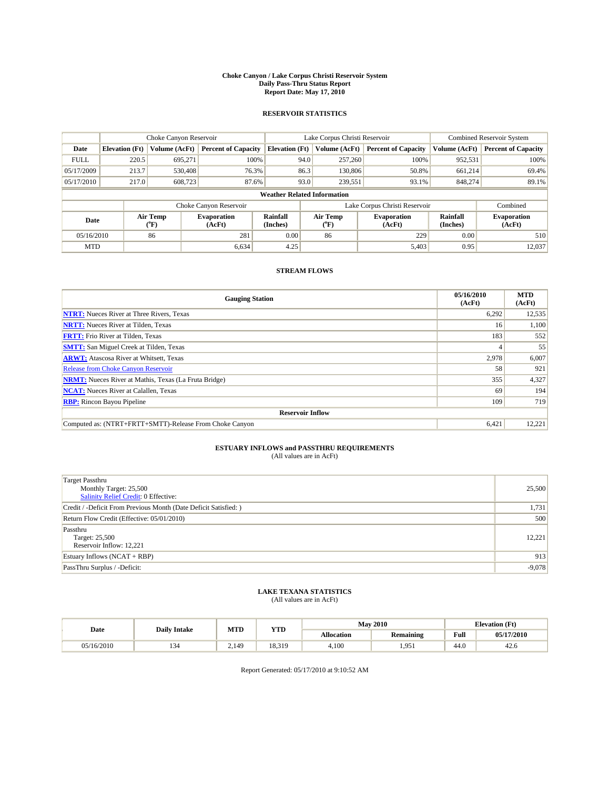#### **Choke Canyon / Lake Corpus Christi Reservoir System Daily Pass-Thru Status Report Report Date: May 17, 2010**

## **RESERVOIR STATISTICS**

|             |                       | Choke Canyon Reservoir |                              |                                                                                      | Lake Corpus Christi Reservoir | <b>Combined Reservoir System</b> |                              |                            |
|-------------|-----------------------|------------------------|------------------------------|--------------------------------------------------------------------------------------|-------------------------------|----------------------------------|------------------------------|----------------------------|
| Date        | <b>Elevation</b> (Ft) | Volume (AcFt)          | <b>Percent of Capacity</b>   | <b>Elevation</b> (Ft)                                                                | Volume (AcFt)                 | <b>Percent of Capacity</b>       | Volume (AcFt)                | <b>Percent of Capacity</b> |
| <b>FULL</b> | 220.5                 | 695,271                | 100%                         | 94.0                                                                                 | 257,260                       | 100%                             | 952,531                      | 100%                       |
| 05/17/2009  | 213.7                 | 530,408                | 76.3%                        | 86.3                                                                                 | 130,806                       | 50.8%                            | 661.214                      | 69.4%                      |
| 05/17/2010  | 217.0                 | 608,723                | 87.6%                        | 93.0                                                                                 | 239,551                       | 93.1%                            | 848,274                      | 89.1%                      |
|             |                       |                        |                              | <b>Weather Related Information</b>                                                   |                               |                                  |                              |                            |
|             |                       |                        | Choke Canyon Reservoir       |                                                                                      | Lake Corpus Christi Reservoir |                                  |                              | Combined                   |
| Date        |                       | Air Temp<br>(°F)       | <b>Evaporation</b><br>(AcFt) | Air Temp<br>Rainfall<br><b>Evaporation</b><br>(Inches)<br>(Inches)<br>(AcFt)<br>("F) |                               | Rainfall                         | <b>Evaporation</b><br>(AcFt) |                            |
| 05/16/2010  |                       | 86                     | 281                          | 0.00                                                                                 | 86                            | 229                              | 0.00                         | 510                        |
| <b>MTD</b>  |                       |                        | 6.634                        | 4.25                                                                                 |                               | 5,403                            | 0.95                         | 12,037                     |

## **STREAM FLOWS**

| <b>Gauging Station</b>                                       | 05/16/2010<br>(AcFt) | <b>MTD</b><br>(AcFt) |  |  |  |  |
|--------------------------------------------------------------|----------------------|----------------------|--|--|--|--|
| <b>NTRT:</b> Nueces River at Three Rivers, Texas             | 6,292                | 12,535               |  |  |  |  |
| <b>NRTT:</b> Nueces River at Tilden, Texas                   | 16                   | 1,100                |  |  |  |  |
| <b>FRTT:</b> Frio River at Tilden, Texas                     | 183                  | 552                  |  |  |  |  |
| <b>SMTT:</b> San Miguel Creek at Tilden, Texas               |                      | 55                   |  |  |  |  |
| <b>ARWT:</b> Atascosa River at Whitsett, Texas               | 2,978                | 6,007                |  |  |  |  |
| <b>Release from Choke Canyon Reservoir</b>                   | 58                   | 921                  |  |  |  |  |
| <b>NRMT:</b> Nueces River at Mathis, Texas (La Fruta Bridge) | 355                  | 4,327                |  |  |  |  |
| <b>NCAT:</b> Nueces River at Calallen, Texas                 | 69                   | 194                  |  |  |  |  |
| <b>RBP:</b> Rincon Bayou Pipeline                            | 109                  | 719                  |  |  |  |  |
| <b>Reservoir Inflow</b>                                      |                      |                      |  |  |  |  |
| Computed as: (NTRT+FRTT+SMTT)-Release From Choke Canyon      | 6,421                | 12,221               |  |  |  |  |

# **ESTUARY INFLOWS and PASSTHRU REQUIREMENTS**<br>(All values are in AcFt)

| <b>Target Passthru</b><br>Monthly Target: 25,500<br><b>Salinity Relief Credit: 0 Effective:</b> | 25,500   |
|-------------------------------------------------------------------------------------------------|----------|
| Credit / -Deficit From Previous Month (Date Deficit Satisfied: )                                | 1,731    |
| Return Flow Credit (Effective: 05/01/2010)                                                      | 500      |
| Passthru<br>Target: 25,500<br>Reservoir Inflow: 12,221                                          | 12,221   |
| Estuary Inflows $(NCAT + RBP)$                                                                  | 913      |
| PassThru Surplus / -Deficit:                                                                    | $-9,078$ |

## **LAKE TEXANA STATISTICS** (All values are in AcFt)

|            | <b>Daily Intake</b> | MTD   | <b>YTD</b> |            | <b>May 2010</b>  |                                             | <b>Elevation</b> (Ft) |
|------------|---------------------|-------|------------|------------|------------------|---------------------------------------------|-----------------------|
| Date       |                     |       |            | Allocation | <b>Remaining</b> | Full<br>the contract of the contract of the | 05/17/2010            |
| 05/16/2010 | $\sim$<br>154       | 2.149 | 18.319     | 4.100      | .05<br>エコンエ      | 44.0                                        | 42.0                  |

Report Generated: 05/17/2010 at 9:10:52 AM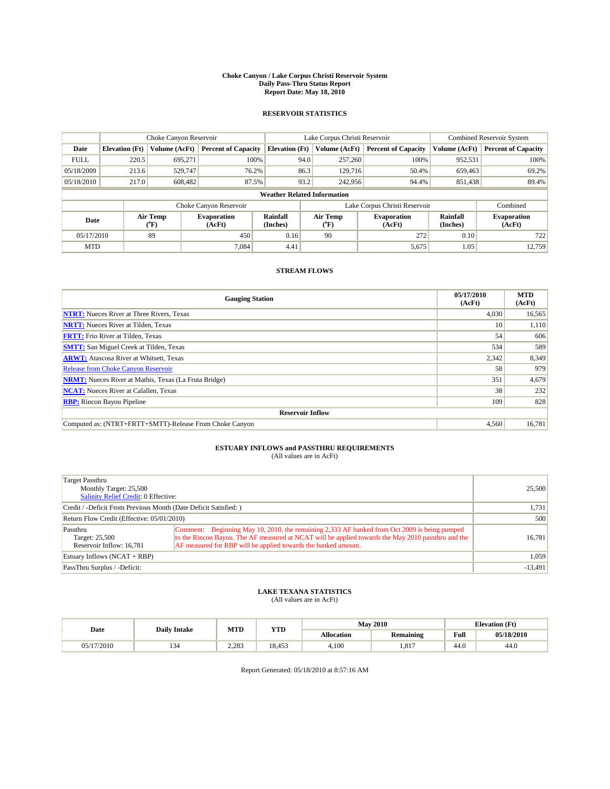#### **Choke Canyon / Lake Corpus Christi Reservoir System Daily Pass-Thru Status Report Report Date: May 18, 2010**

## **RESERVOIR STATISTICS**

|             | Choke Canyon Reservoir |                                                                                                                              | Lake Corpus Christi Reservoir |                                    |                               |               | <b>Combined Reservoir System</b> |               |                            |
|-------------|------------------------|------------------------------------------------------------------------------------------------------------------------------|-------------------------------|------------------------------------|-------------------------------|---------------|----------------------------------|---------------|----------------------------|
| Date        | <b>Elevation</b> (Ft)  | Volume (AcFt)                                                                                                                | <b>Percent of Capacity</b>    | <b>Elevation</b> (Ft)              |                               | Volume (AcFt) | <b>Percent of Capacity</b>       | Volume (AcFt) | <b>Percent of Capacity</b> |
| <b>FULL</b> | 220.5                  | 695.271                                                                                                                      | 100%                          |                                    | 94.0                          | 257,260       | 100%                             | 952,531       | 100%                       |
| 05/18/2009  | 213.6                  | 529.747                                                                                                                      | 76.2%                         |                                    | 86.3                          | 129,716       | 50.4%                            | 659,463       | 69.2%                      |
| 05/18/2010  | 217.0                  | 608,482                                                                                                                      | 87.5%                         |                                    | 93.2                          | 242,956       | 94.4%                            | 851,438       | 89.4%                      |
|             |                        |                                                                                                                              |                               | <b>Weather Related Information</b> |                               |               |                                  |               |                            |
|             |                        |                                                                                                                              | Choke Canyon Reservoir        |                                    | Lake Corpus Christi Reservoir |               |                                  |               | Combined                   |
| Date        |                        | Air Temp<br>Air Temp<br>Rainfall<br><b>Evaporation</b><br><b>Evaporation</b><br>(Inches)<br>(AcFt)<br>(°F)<br>(AcFt)<br>("F) |                               | Rainfall<br>(Inches)               | <b>Evaporation</b><br>(AcFt)  |               |                                  |               |                            |
| 05/17/2010  |                        | 89                                                                                                                           | 450                           | 0.16                               |                               | 90            | 272                              | 0.10          | 722                        |
| <b>MTD</b>  |                        |                                                                                                                              | 7.084                         | 4.41                               |                               |               | 5,675                            | 1.05          | 12.759                     |

## **STREAM FLOWS**

| <b>Gauging Station</b>                                       | 05/17/2010<br>(AcFt) | <b>MTD</b><br>(AcFt) |  |  |  |  |
|--------------------------------------------------------------|----------------------|----------------------|--|--|--|--|
| <b>NTRT:</b> Nueces River at Three Rivers, Texas             | 4,030                | 16,565               |  |  |  |  |
| <b>NRTT:</b> Nueces River at Tilden, Texas                   | 10                   | 1,110                |  |  |  |  |
| <b>FRTT:</b> Frio River at Tilden, Texas                     | 54                   | 606                  |  |  |  |  |
| <b>SMTT:</b> San Miguel Creek at Tilden, Texas               | 534                  | 589                  |  |  |  |  |
| <b>ARWT:</b> Atascosa River at Whitsett, Texas               | 2,342                | 8,349                |  |  |  |  |
| <b>Release from Choke Canyon Reservoir</b>                   | 58                   | 979                  |  |  |  |  |
| <b>NRMT:</b> Nueces River at Mathis, Texas (La Fruta Bridge) | 351                  | 4,679                |  |  |  |  |
| <b>NCAT:</b> Nueces River at Calallen, Texas                 | 38                   | 232                  |  |  |  |  |
| <b>RBP:</b> Rincon Bayou Pipeline                            | 109                  | 828                  |  |  |  |  |
| <b>Reservoir Inflow</b>                                      |                      |                      |  |  |  |  |
| Computed as: (NTRT+FRTT+SMTT)-Release From Choke Canyon      | 4,560                | 16,781               |  |  |  |  |

# **ESTUARY INFLOWS and PASSTHRU REQUIREMENTS**<br>(All values are in AcFt)

| Target Passthru                                                  |                                                                                                     |           |
|------------------------------------------------------------------|-----------------------------------------------------------------------------------------------------|-----------|
| Monthly Target: 25,500                                           |                                                                                                     | 25,500    |
| Salinity Relief Credit: 0 Effective:                             |                                                                                                     |           |
| Credit / -Deficit From Previous Month (Date Deficit Satisfied: ) | 1,731                                                                                               |           |
| Return Flow Credit (Effective: 05/01/2010)                       | 500                                                                                                 |           |
| Passthru                                                         | Comment: Beginning May 10, 2010, the remaining 2,333 AF banked from Oct 2009 is being pumped        |           |
| Target: 25,500                                                   | to the Rincon Bayou. The AF measured at NCAT will be applied towards the May 2010 passt hru and the | 16,781    |
| Reservoir Inflow: 16,781                                         | AF measured for RBP will be applied towards the banked amount.                                      |           |
| Estuary Inflows $(NCAT + RBP)$                                   |                                                                                                     | 1,059     |
| PassThru Surplus / -Deficit:                                     |                                                                                                     | $-13,491$ |

## **LAKE TEXANA STATISTICS** (All values are in AcFt)

|           |                | MTD<br><b>Daily Intake</b> |                      |                   | <b>May 2010</b>  | <b>Elevation</b> (Ft) |            |  |
|-----------|----------------|----------------------------|----------------------|-------------------|------------------|-----------------------|------------|--|
| Date      |                |                            | <b>YTD</b>           | <b>Allocation</b> | <b>Remaining</b> | Full                  | 05/18/2010 |  |
| (17/2010) | $\sim$<br>1.JT | 2.283                      | 10<br>152<br>د د ده. | 4.100             | .817             | $\Lambda$<br>-44.0    | 44.0       |  |

Report Generated: 05/18/2010 at 8:57:16 AM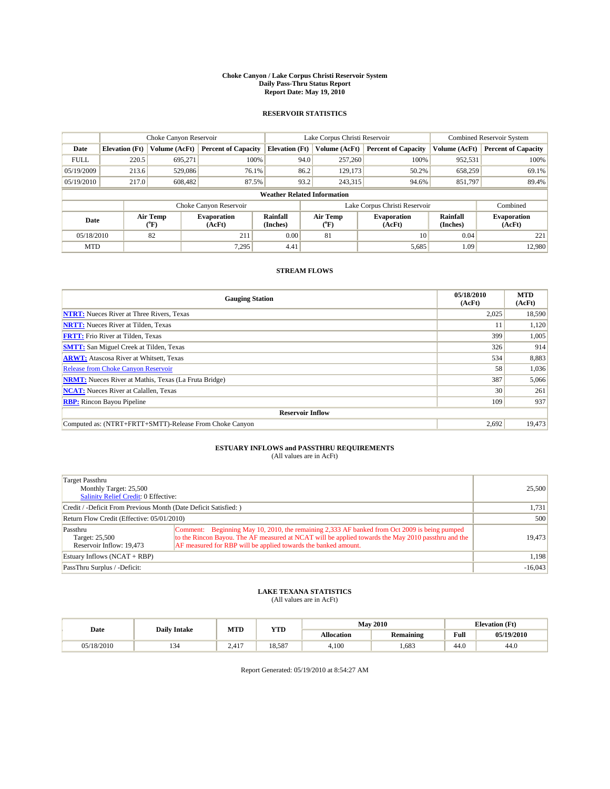#### **Choke Canyon / Lake Corpus Christi Reservoir System Daily Pass-Thru Status Report Report Date: May 19, 2010**

## **RESERVOIR STATISTICS**

|             | Choke Canyon Reservoir |                  |                              |                                    | Lake Corpus Christi Reservoir |                                                      |               | <b>Combined Reservoir System</b> |  |
|-------------|------------------------|------------------|------------------------------|------------------------------------|-------------------------------|------------------------------------------------------|---------------|----------------------------------|--|
| Date        | <b>Elevation</b> (Ft)  | Volume (AcFt)    | <b>Percent of Capacity</b>   | <b>Elevation</b> (Ft)              | Volume (AcFt)                 | <b>Percent of Capacity</b>                           | Volume (AcFt) | <b>Percent of Capacity</b>       |  |
| <b>FULL</b> | 220.5                  | 695,271          | 100%                         | 94.0                               | 257,260                       | 100%                                                 | 952,531       | 100%                             |  |
| 05/19/2009  | 213.6                  | 529,086          | 76.1%                        | 86.2                               | 129,173                       | 50.2%                                                | 658,259       | 69.1%                            |  |
| 05/19/2010  | 217.0                  | 608,482          | 87.5%                        | 93.2                               | 243,315                       | 94.6%                                                | 851,797       | 89.4%                            |  |
|             |                        |                  |                              | <b>Weather Related Information</b> |                               |                                                      |               |                                  |  |
|             |                        |                  | Choke Canyon Reservoir       |                                    | Lake Corpus Christi Reservoir |                                                      |               | Combined                         |  |
| Date        |                        | Air Temp<br>(°F) | <b>Evaporation</b><br>(AcFt) | <b>Rainfall</b><br>(Inches)        | Air Temp<br>(°F)              | Rainfall<br><b>Evaporation</b><br>(Inches)<br>(AcFt) |               | <b>Evaporation</b><br>(AcFt)     |  |
| 05/18/2010  |                        | 82               | 211                          | 0.00                               | 81                            | 10                                                   | 0.04          | 221                              |  |
| <b>MTD</b>  |                        |                  | 7.295                        | 4.41                               |                               | 5,685                                                | 1.09          | 12.980                           |  |

## **STREAM FLOWS**

| <b>Gauging Station</b>                                       | 05/18/2010<br>(AcFt) | <b>MTD</b><br>(AcFt) |  |  |  |  |
|--------------------------------------------------------------|----------------------|----------------------|--|--|--|--|
| <b>NTRT:</b> Nueces River at Three Rivers, Texas             | 2,025                | 18,590               |  |  |  |  |
| <b>NRTT:</b> Nueces River at Tilden, Texas                   |                      | 1,120                |  |  |  |  |
| <b>FRTT:</b> Frio River at Tilden, Texas                     | 399                  | 1,005                |  |  |  |  |
| <b>SMTT:</b> San Miguel Creek at Tilden, Texas               | 326                  | 914                  |  |  |  |  |
| <b>ARWT:</b> Atascosa River at Whitsett, Texas               | 534                  | 8,883                |  |  |  |  |
| <b>Release from Choke Canyon Reservoir</b>                   | 58                   | 1,036                |  |  |  |  |
| <b>NRMT:</b> Nueces River at Mathis, Texas (La Fruta Bridge) | 387                  | 5,066                |  |  |  |  |
| <b>NCAT:</b> Nueces River at Calallen, Texas                 | 30                   | 261                  |  |  |  |  |
| <b>RBP:</b> Rincon Bayou Pipeline                            | 109                  | 937                  |  |  |  |  |
| <b>Reservoir Inflow</b>                                      |                      |                      |  |  |  |  |
| Computed as: (NTRT+FRTT+SMTT)-Release From Choke Canyon      | 2,692                | 19,473               |  |  |  |  |

# **ESTUARY INFLOWS and PASSTHRU REQUIREMENTS**<br>(All values are in AcFt)

| Target Passthru<br>Monthly Target: 25,500<br>Salinity Relief Credit: 0 Effective: | 25,500                                                                                                                                                                                                                                                               |           |
|-----------------------------------------------------------------------------------|----------------------------------------------------------------------------------------------------------------------------------------------------------------------------------------------------------------------------------------------------------------------|-----------|
| Credit / -Deficit From Previous Month (Date Deficit Satisfied: )                  | 1,731                                                                                                                                                                                                                                                                |           |
| Return Flow Credit (Effective: 05/01/2010)                                        | 500                                                                                                                                                                                                                                                                  |           |
| Passthru<br>Target: 25,500<br>Reservoir Inflow: 19.473                            | Comment: Beginning May 10, 2010, the remaining 2,333 AF banked from Oct 2009 is being pumped<br>to the Rincon Bayou. The AF measured at NCAT will be applied towards the May 2010 passthru and the<br>AF measured for RBP will be applied towards the banked amount. | 19.473    |
| Estuary Inflows (NCAT + RBP)                                                      | 1,198                                                                                                                                                                                                                                                                |           |
| PassThru Surplus / -Deficit:                                                      |                                                                                                                                                                                                                                                                      | $-16,043$ |

## **LAKE TEXANA STATISTICS** (All values are in AcFt)

|            |                     | MTD<br><b>YTD</b>         |        |            | <b>May 2010</b> |                                             | <b>Elevation</b> (Ft) |
|------------|---------------------|---------------------------|--------|------------|-----------------|---------------------------------------------|-----------------------|
| Date       | <b>Daily Intake</b> |                           |        | Allocation | Remaining       | Full<br>the contract of the contract of the | 05/19/2010            |
| 05/18/2010 | ى 34                | .117<br>$\sim$ .4.1<br>г. | 18.587 | 4.100      | .683            | 44.0                                        | 44.0                  |

Report Generated: 05/19/2010 at 8:54:27 AM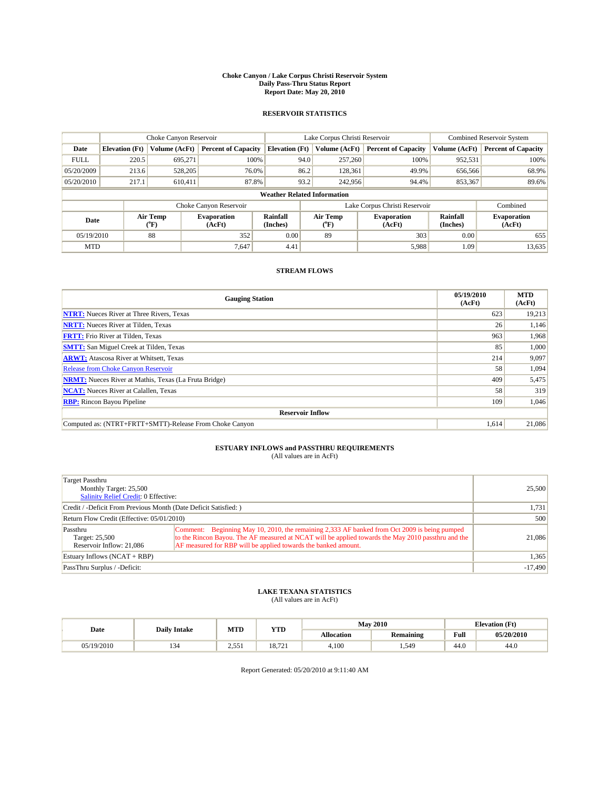#### **Choke Canyon / Lake Corpus Christi Reservoir System Daily Pass-Thru Status Report Report Date: May 20, 2010**

## **RESERVOIR STATISTICS**

|             | Choke Canyon Reservoir |                  |                              |                                    | Lake Corpus Christi Reservoir | <b>Combined Reservoir System</b>                     |               |                              |
|-------------|------------------------|------------------|------------------------------|------------------------------------|-------------------------------|------------------------------------------------------|---------------|------------------------------|
| Date        | <b>Elevation</b> (Ft)  | Volume (AcFt)    | <b>Percent of Capacity</b>   | <b>Elevation</b> (Ft)              | Volume (AcFt)                 | <b>Percent of Capacity</b>                           | Volume (AcFt) | <b>Percent of Capacity</b>   |
| <b>FULL</b> | 220.5                  | 695.271          | 100%                         | 94.0                               | 257,260                       | 100%                                                 | 952,531       | 100%                         |
| 05/20/2009  | 213.6                  | 528,205          | 76.0%                        | 86.2                               | 128,361                       | 49.9%                                                | 656,566       | 68.9%                        |
| 05/20/2010  | 217.1                  | 610.411          | 87.8%                        | 93.2                               | 242,956                       | 94.4%                                                | 853,367       | 89.6%                        |
|             |                        |                  |                              | <b>Weather Related Information</b> |                               |                                                      |               |                              |
|             |                        |                  | Choke Canyon Reservoir       |                                    | Lake Corpus Christi Reservoir |                                                      |               | Combined                     |
| Date        |                        | Air Temp<br>(°F) | <b>Evaporation</b><br>(AcFt) | Rainfall<br>(Inches)               | Air Temp<br>("F)              | Rainfall<br><b>Evaporation</b><br>(AcFt)<br>(Inches) |               | <b>Evaporation</b><br>(AcFt) |
| 05/19/2010  |                        | 88               | 352                          | 0.00                               | 89                            | 303                                                  | 0.00          | 655                          |
| <b>MTD</b>  |                        |                  | 7.647                        | 4.41                               |                               | 5,988                                                | 1.09          | 13,635                       |

## **STREAM FLOWS**

| <b>Gauging Station</b>                                       | 05/19/2010<br>(AcFt) | <b>MTD</b><br>(AcFt) |  |  |  |  |
|--------------------------------------------------------------|----------------------|----------------------|--|--|--|--|
| <b>NTRT:</b> Nueces River at Three Rivers, Texas             | 623                  | 19,213               |  |  |  |  |
| <b>NRTT:</b> Nueces River at Tilden, Texas                   | 26                   | 1,146                |  |  |  |  |
| <b>FRTT:</b> Frio River at Tilden, Texas                     | 963                  | 1,968                |  |  |  |  |
| <b>SMTT:</b> San Miguel Creek at Tilden, Texas               | 85                   | 1,000                |  |  |  |  |
| <b>ARWT:</b> Atascosa River at Whitsett, Texas               | 214                  | 9,097                |  |  |  |  |
| <b>Release from Choke Canyon Reservoir</b>                   | 58                   | 1,094                |  |  |  |  |
| <b>NRMT:</b> Nueces River at Mathis, Texas (La Fruta Bridge) | 409                  | 5,475                |  |  |  |  |
| <b>NCAT:</b> Nueces River at Calallen, Texas                 | 58                   | 319                  |  |  |  |  |
| <b>RBP:</b> Rincon Bayou Pipeline                            | 109                  | 1,046                |  |  |  |  |
| <b>Reservoir Inflow</b>                                      |                      |                      |  |  |  |  |
| Computed as: (NTRT+FRTT+SMTT)-Release From Choke Canyon      | 1,614                | 21,086               |  |  |  |  |

# **ESTUARY INFLOWS and PASSTHRU REQUIREMENTS**<br>(All values are in AcFt)

| Target Passthru<br>Monthly Target: 25,500<br>Salinity Relief Credit: 0 Effective: | 25,500                                                                                                                                                                                                                                                               |           |
|-----------------------------------------------------------------------------------|----------------------------------------------------------------------------------------------------------------------------------------------------------------------------------------------------------------------------------------------------------------------|-----------|
| Credit / -Deficit From Previous Month (Date Deficit Satisfied: )                  | 1,731                                                                                                                                                                                                                                                                |           |
| Return Flow Credit (Effective: 05/01/2010)                                        | 500                                                                                                                                                                                                                                                                  |           |
| Passthru<br>Target: 25,500<br>Reservoir Inflow: 21.086                            | Comment: Beginning May 10, 2010, the remaining 2,333 AF banked from Oct 2009 is being pumped<br>to the Rincon Bayou. The AF measured at NCAT will be applied towards the May 2010 passthru and the<br>AF measured for RBP will be applied towards the banked amount. | 21,086    |
| Estuary Inflows (NCAT + RBP)                                                      | 1,365                                                                                                                                                                                                                                                                |           |
| PassThru Surplus / -Deficit:                                                      |                                                                                                                                                                                                                                                                      | $-17,490$ |

## **LAKE TEXANA STATISTICS** (All values are in AcFt)

|          |                     | MTD<br><b>YTD</b> |                 |                   | <b>May 2010</b>  |      | <b>Elevation</b> (Ft) |
|----------|---------------------|-------------------|-----------------|-------------------|------------------|------|-----------------------|
| Date     | <b>Daily Intake</b> |                   |                 | <b>Allocation</b> | <b>Remaining</b> | Full | 05/20/2010            |
| /19/2010 | 134                 | 2.55'<br>2 . ب    | 10701<br>18.721 | 4.100             | 1.549            | 44.0 | 44.0                  |

Report Generated: 05/20/2010 at 9:11:40 AM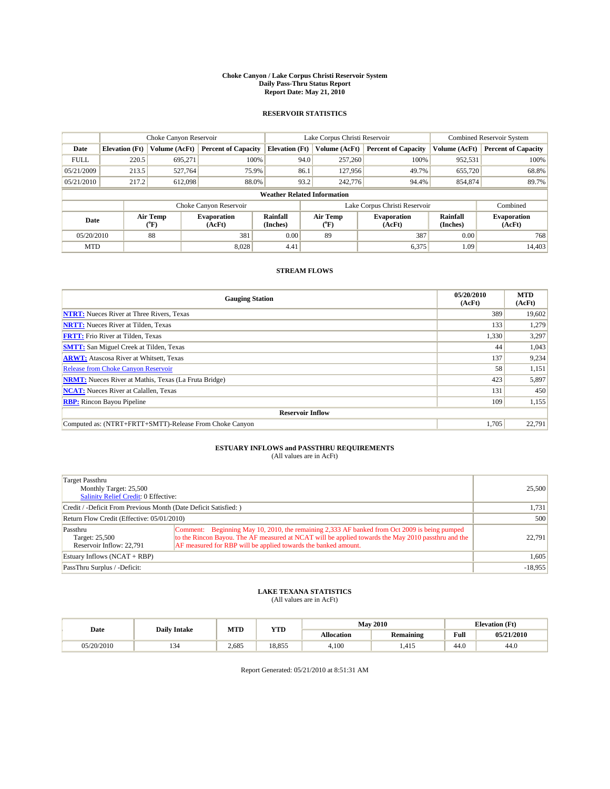#### **Choke Canyon / Lake Corpus Christi Reservoir System Daily Pass-Thru Status Report Report Date: May 21, 2010**

## **RESERVOIR STATISTICS**

|             | Choke Canyon Reservoir |                  |                              |                                                                          | Lake Corpus Christi Reservoir | <b>Combined Reservoir System</b> |                              |                            |
|-------------|------------------------|------------------|------------------------------|--------------------------------------------------------------------------|-------------------------------|----------------------------------|------------------------------|----------------------------|
| Date        | <b>Elevation</b> (Ft)  | Volume (AcFt)    | <b>Percent of Capacity</b>   | <b>Elevation</b> (Ft)                                                    | Volume (AcFt)                 | <b>Percent of Capacity</b>       | Volume (AcFt)                | <b>Percent of Capacity</b> |
| <b>FULL</b> | 220.5                  | 695.271          | 100%                         | 94.0                                                                     | 257,260                       | 100%                             | 952,531                      | 100%                       |
| 05/21/2009  | 213.5                  | 527.764          | 75.9%                        | 86.1                                                                     | 127,956                       | 49.7%                            | 655,720                      | 68.8%                      |
| 05/21/2010  | 217.2                  | 612,098          | 88.0%                        | 93.2                                                                     | 242,776                       | 94.4%                            | 854,874                      | 89.7%                      |
|             |                        |                  |                              | <b>Weather Related Information</b>                                       |                               |                                  |                              |                            |
|             |                        |                  | Choke Canyon Reservoir       |                                                                          | Lake Corpus Christi Reservoir |                                  |                              | Combined                   |
| Date        |                        | Air Temp<br>(°F) | <b>Evaporation</b><br>(AcFt) | Air Temp<br>Rainfall<br><b>Evaporation</b><br>(Inches)<br>(AcFt)<br>("F) |                               | Rainfall<br>(Inches)             | <b>Evaporation</b><br>(AcFt) |                            |
| 05/20/2010  |                        | 88               | 381                          | 0.00                                                                     | 89                            | 387                              | 0.00                         | 768                        |
| <b>MTD</b>  |                        |                  | 8.028                        | 4.41                                                                     |                               | 6,375                            | 1.09                         | 14.403                     |

## **STREAM FLOWS**

| <b>Gauging Station</b>                                       | 05/20/2010<br>(AcFt) | <b>MTD</b><br>(AcFt) |  |  |  |  |
|--------------------------------------------------------------|----------------------|----------------------|--|--|--|--|
| <b>NTRT:</b> Nueces River at Three Rivers, Texas             | 389                  | 19,602               |  |  |  |  |
| <b>NRTT:</b> Nueces River at Tilden, Texas                   | 133                  | 1,279                |  |  |  |  |
| <b>FRTT:</b> Frio River at Tilden, Texas                     | 1,330                | 3,297                |  |  |  |  |
| <b>SMTT:</b> San Miguel Creek at Tilden, Texas               | 44                   | 1,043                |  |  |  |  |
| <b>ARWT:</b> Atascosa River at Whitsett, Texas               | 137                  | 9,234                |  |  |  |  |
| <b>Release from Choke Canyon Reservoir</b>                   | 58                   | 1,151                |  |  |  |  |
| <b>NRMT:</b> Nueces River at Mathis, Texas (La Fruta Bridge) | 423                  | 5,897                |  |  |  |  |
| <b>NCAT:</b> Nueces River at Calallen, Texas                 | 131                  | 450                  |  |  |  |  |
| <b>RBP:</b> Rincon Bayou Pipeline                            | 109                  | 1,155                |  |  |  |  |
| <b>Reservoir Inflow</b>                                      |                      |                      |  |  |  |  |
| Computed as: (NTRT+FRTT+SMTT)-Release From Choke Canyon      | 1,705                | 22,791               |  |  |  |  |

# **ESTUARY INFLOWS and PASSTHRU REQUIREMENTS**<br>(All values are in AcFt)

| Target Passthru                                                 |                                                                                                                                                                                                                                                                       |           |
|-----------------------------------------------------------------|-----------------------------------------------------------------------------------------------------------------------------------------------------------------------------------------------------------------------------------------------------------------------|-----------|
| Monthly Target: 25,500                                          |                                                                                                                                                                                                                                                                       | 25,500    |
| Salinity Relief Credit: 0 Effective:                            |                                                                                                                                                                                                                                                                       |           |
| Credit / -Deficit From Previous Month (Date Deficit Satisfied:) | 1,731                                                                                                                                                                                                                                                                 |           |
| Return Flow Credit (Effective: 05/01/2010)                      | 500                                                                                                                                                                                                                                                                   |           |
| Passthru<br>Target: 25,500<br>Reservoir Inflow: 22.791          | Comment: Beginning May 10, 2010, the remaining 2,333 AF banked from Oct 2009 is being pumped<br>to the Rincon Bayou. The AF measured at NCAT will be applied towards the May 2010 passt hru and the<br>AF measured for RBP will be applied towards the banked amount. | 22,791    |
| Estuary Inflows (NCAT + RBP)                                    |                                                                                                                                                                                                                                                                       | 1,605     |
| PassThru Surplus / -Deficit:                                    |                                                                                                                                                                                                                                                                       | $-18,955$ |

## **LAKE TEXANA STATISTICS** (All values are in AcFt)

|            | <b>Daily Intake</b> | MTD   | <b>YTD</b> | <b>May 2010</b>   |                  |                | <b>Elevation</b> (Ft) |
|------------|---------------------|-------|------------|-------------------|------------------|----------------|-----------------------|
| Date       |                     |       |            | <b>Allocation</b> | <b>Remaining</b> | Full           | 05/21/2010            |
| 05/20/2010 | . .                 | 2.685 | 18.855     | 4.100             | .415             | $\sim$<br>44.0 | 44.0                  |

Report Generated: 05/21/2010 at 8:51:31 AM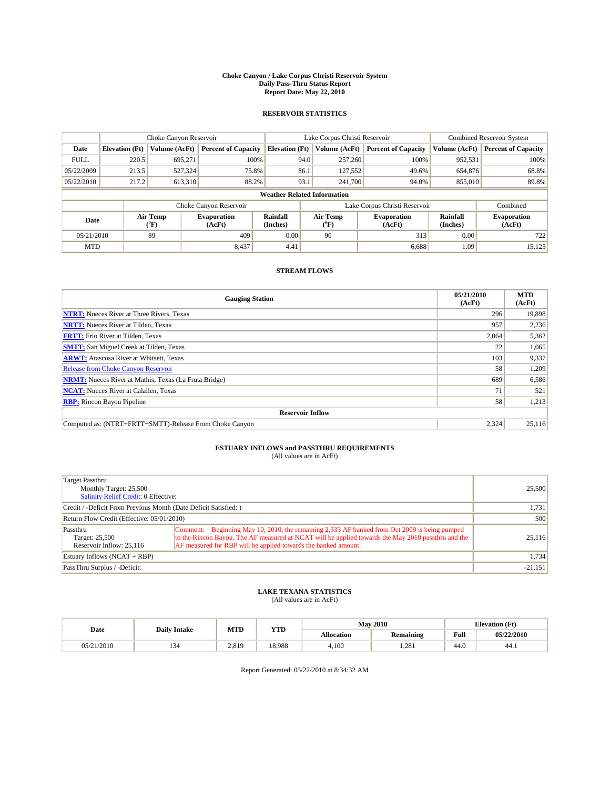#### **Choke Canyon / Lake Corpus Christi Reservoir System Daily Pass-Thru Status Report Report Date: May 22, 2010**

## **RESERVOIR STATISTICS**

|             | Choke Canyon Reservoir                                                                                                                       |               | Lake Corpus Christi Reservoir |                                    |      |               | <b>Combined Reservoir System</b> |               |                            |
|-------------|----------------------------------------------------------------------------------------------------------------------------------------------|---------------|-------------------------------|------------------------------------|------|---------------|----------------------------------|---------------|----------------------------|
| Date        | <b>Elevation</b> (Ft)                                                                                                                        | Volume (AcFt) | <b>Percent of Capacity</b>    | <b>Elevation</b> (Ft)              |      | Volume (AcFt) | <b>Percent of Capacity</b>       | Volume (AcFt) | <b>Percent of Capacity</b> |
| <b>FULL</b> | 220.5                                                                                                                                        | 695,271       | 100%                          |                                    | 94.0 | 257,260       | 100%                             | 952,531       | 100%                       |
| 05/22/2009  | 213.5                                                                                                                                        | 527,324       | 75.8%                         |                                    | 86.1 | 127,552       | 49.6%                            | 654,876       | 68.8%                      |
| 05/22/2010  | 217.2                                                                                                                                        | 613,310       | 88.2%                         |                                    | 93.1 | 241,700       | 94.0%                            | 855,010       | 89.8%                      |
|             |                                                                                                                                              |               |                               | <b>Weather Related Information</b> |      |               |                                  |               |                            |
|             |                                                                                                                                              |               | Choke Canyon Reservoir        |                                    |      |               | Lake Corpus Christi Reservoir    |               | Combined                   |
| Date        | Air Temp<br>Air Temp<br>Rainfall<br><b>Evaporation</b><br><b>Evaporation</b><br>(Inches)<br>(AcFt)<br>$\rm ^{o}F)$<br>(AcFt)<br>$\rm ^{o}F)$ |               | Rainfall<br>(Inches)          | <b>Evaporation</b><br>(AcFt)       |      |               |                                  |               |                            |
| 05/21/2010  |                                                                                                                                              | 89            | 409                           | 0.00                               |      | 90            | 313                              | 0.00          | 722                        |
| <b>MTD</b>  |                                                                                                                                              |               | 8,437                         | 4.41                               |      |               | 6,688                            | 1.09          | 15,125                     |

## **STREAM FLOWS**

| <b>Gauging Station</b>                                       | 05/21/2010<br>(AcFt) | <b>MTD</b><br>(AcFt) |  |  |  |  |  |
|--------------------------------------------------------------|----------------------|----------------------|--|--|--|--|--|
| <b>NTRT:</b> Nueces River at Three Rivers, Texas             | 296                  | 19,898               |  |  |  |  |  |
| <b>NRTT:</b> Nueces River at Tilden, Texas                   | 957                  | 2,236                |  |  |  |  |  |
| <b>FRTT:</b> Frio River at Tilden, Texas                     | 2,064                | 5,362                |  |  |  |  |  |
| <b>SMTT:</b> San Miguel Creek at Tilden, Texas               | 22                   | 1,065                |  |  |  |  |  |
| <b>ARWT:</b> Atascosa River at Whitsett, Texas               | 103                  | 9,337                |  |  |  |  |  |
| <b>Release from Choke Canyon Reservoir</b>                   | 58                   | 1,209                |  |  |  |  |  |
| <b>NRMT:</b> Nueces River at Mathis, Texas (La Fruta Bridge) | 689                  | 6,586                |  |  |  |  |  |
| <b>NCAT:</b> Nueces River at Calallen, Texas                 | 71                   | 521                  |  |  |  |  |  |
| <b>RBP:</b> Rincon Bayou Pipeline                            | 58                   | 1,213                |  |  |  |  |  |
| <b>Reservoir Inflow</b>                                      |                      |                      |  |  |  |  |  |
| Computed as: (NTRT+FRTT+SMTT)-Release From Choke Canyon      | 2,324                | 25,116               |  |  |  |  |  |

# **ESTUARY INFLOWS and PASSTHRU REQUIREMENTS**<br>(All values are in AcFt)

| Target Passthru<br>Monthly Target: 25,500<br>Salinity Relief Credit: 0 Effective: | 25,500                                                                                                                                                                                                                                                               |           |
|-----------------------------------------------------------------------------------|----------------------------------------------------------------------------------------------------------------------------------------------------------------------------------------------------------------------------------------------------------------------|-----------|
| Credit / -Deficit From Previous Month (Date Deficit Satisfied: )                  | 1,731                                                                                                                                                                                                                                                                |           |
| Return Flow Credit (Effective: 05/01/2010)                                        | 500                                                                                                                                                                                                                                                                  |           |
| Passthru<br>Target: 25,500<br>Reservoir Inflow: 25.116                            | Comment: Beginning May 10, 2010, the remaining 2,333 AF banked from Oct 2009 is being pumped<br>to the Rincon Bayou. The AF measured at NCAT will be applied towards the May 2010 passthru and the<br>AF measured for RBP will be applied towards the banked amount. | 25,116    |
| Estuary Inflows (NCAT + RBP)                                                      | 1,734                                                                                                                                                                                                                                                                |           |
| PassThru Surplus / -Deficit:                                                      |                                                                                                                                                                                                                                                                      | $-21,151$ |

## **LAKE TEXANA STATISTICS** (All values are in AcFt)

|            | <b>Daily Intake</b> | MTD   | YTD    | <b>May 2010</b>   |                  |      | <b>Elevation</b> (Ft) |
|------------|---------------------|-------|--------|-------------------|------------------|------|-----------------------|
| Date       |                     |       |        | <b>Allocation</b> | <b>Remaining</b> | Full | 05/22/2010            |
| 05/21/2010 |                     | 2.819 | 18.988 | 4.100             | .281             | 44.0 | 44.1                  |

Report Generated: 05/22/2010 at 8:34:32 AM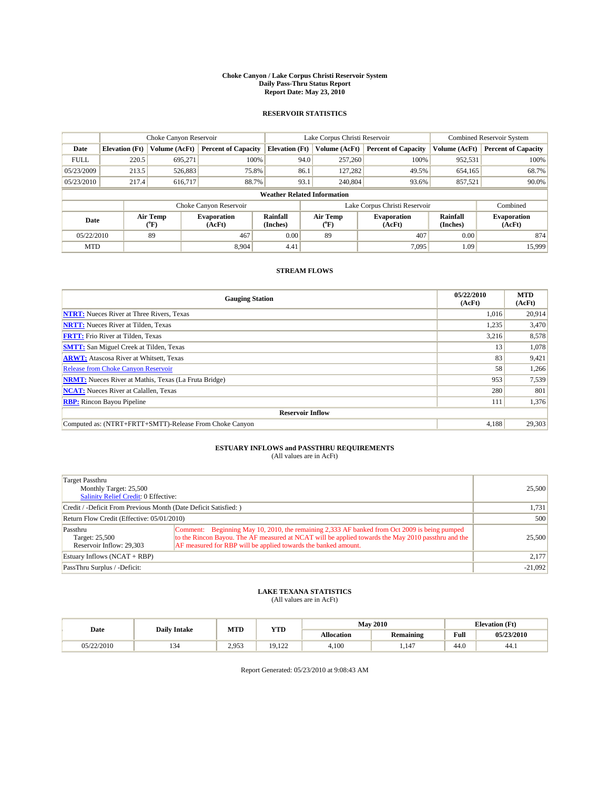#### **Choke Canyon / Lake Corpus Christi Reservoir System Daily Pass-Thru Status Report Report Date: May 23, 2010**

## **RESERVOIR STATISTICS**

|             | Choke Canyon Reservoir |                  |                              |                                    | Lake Corpus Christi Reservoir |                  |                                                      |               | <b>Combined Reservoir System</b> |  |
|-------------|------------------------|------------------|------------------------------|------------------------------------|-------------------------------|------------------|------------------------------------------------------|---------------|----------------------------------|--|
| Date        | <b>Elevation</b> (Ft)  | Volume (AcFt)    | <b>Percent of Capacity</b>   | <b>Elevation</b> (Ft)              |                               | Volume (AcFt)    | <b>Percent of Capacity</b>                           | Volume (AcFt) | <b>Percent of Capacity</b>       |  |
| <b>FULL</b> | 220.5                  | 695.271          | 100%                         |                                    | 94.0                          | 257,260          | 100%                                                 | 952,531       | 100%                             |  |
| 05/23/2009  | 213.5                  | 526,883          | 75.8%                        |                                    | 86.1                          | 127,282          | 49.5%                                                | 654,165       | 68.7%                            |  |
| 05/23/2010  | 217.4                  | 616,717          | 88.7%                        |                                    | 93.1                          | 240,804          | 93.6%                                                | 857,521       | 90.0%                            |  |
|             |                        |                  |                              | <b>Weather Related Information</b> |                               |                  |                                                      |               |                                  |  |
|             |                        |                  | Choke Canyon Reservoir       |                                    | Lake Corpus Christi Reservoir |                  |                                                      |               | Combined                         |  |
| Date        |                        | Air Temp<br>(°F) | <b>Evaporation</b><br>(AcFt) | Rainfall<br>(Inches)               |                               | Air Temp<br>("F) | Rainfall<br><b>Evaporation</b><br>(Inches)<br>(AcFt) |               | <b>Evaporation</b><br>(AcFt)     |  |
| 05/22/2010  |                        | 89               | 467                          | 0.00                               |                               | 89               | 407                                                  | 0.00          | 874                              |  |
| <b>MTD</b>  |                        |                  | 8.904                        | 4.41                               |                               |                  | 7.095                                                | 1.09          | 15.999                           |  |

## **STREAM FLOWS**

| <b>Gauging Station</b>                                       | 05/22/2010<br>(AcFt) | <b>MTD</b><br>(AcFt) |  |  |  |  |  |
|--------------------------------------------------------------|----------------------|----------------------|--|--|--|--|--|
| <b>NTRT:</b> Nueces River at Three Rivers, Texas             | 1,016                | 20,914               |  |  |  |  |  |
| <b>NRTT:</b> Nueces River at Tilden, Texas                   | 1,235                | 3,470                |  |  |  |  |  |
| <b>FRTT:</b> Frio River at Tilden, Texas                     | 3,216                | 8,578                |  |  |  |  |  |
| <b>SMTT:</b> San Miguel Creek at Tilden, Texas               | 13                   | 1,078                |  |  |  |  |  |
| <b>ARWT:</b> Atascosa River at Whitsett, Texas               | 83                   | 9,421                |  |  |  |  |  |
| <b>Release from Choke Canyon Reservoir</b>                   | 58                   | 1,266                |  |  |  |  |  |
| <b>NRMT:</b> Nueces River at Mathis, Texas (La Fruta Bridge) | 953                  | 7,539                |  |  |  |  |  |
| <b>NCAT:</b> Nueces River at Calallen, Texas                 | 280                  | 801                  |  |  |  |  |  |
| <b>RBP:</b> Rincon Bayou Pipeline                            | 111                  | 1,376                |  |  |  |  |  |
| <b>Reservoir Inflow</b>                                      |                      |                      |  |  |  |  |  |
| Computed as: (NTRT+FRTT+SMTT)-Release From Choke Canyon      | 4,188                | 29,303               |  |  |  |  |  |

# **ESTUARY INFLOWS and PASSTHRU REQUIREMENTS**<br>(All values are in AcFt)

| Target Passthru<br>Monthly Target: 25,500<br><b>Salinity Relief Credit: 0 Effective:</b> | 25,500                                                                                                                                                                                                                                                                |           |
|------------------------------------------------------------------------------------------|-----------------------------------------------------------------------------------------------------------------------------------------------------------------------------------------------------------------------------------------------------------------------|-----------|
| Credit / -Deficit From Previous Month (Date Deficit Satisfied: )                         | 1,731                                                                                                                                                                                                                                                                 |           |
| Return Flow Credit (Effective: 05/01/2010)                                               | 500                                                                                                                                                                                                                                                                   |           |
| Passthru<br>Target: 25,500<br>Reservoir Inflow: 29.303                                   | Comment: Beginning May 10, 2010, the remaining 2,333 AF banked from Oct 2009 is being pumped<br>to the Rincon Bayou. The AF measured at NCAT will be applied towards the May 2010 passt hru and the<br>AF measured for RBP will be applied towards the banked amount. | 25,500    |
| Estuary Inflows (NCAT + RBP)                                                             |                                                                                                                                                                                                                                                                       | 2,177     |
| PassThru Surplus / -Deficit:                                                             |                                                                                                                                                                                                                                                                       | $-21,092$ |

## **LAKE TEXANA STATISTICS** (All values are in AcFt)

|            | <b>Daily Intake</b> | MTD                   | <b>YTD</b>      | <b>May 2010</b> |                  |                    | <b>Elevation</b> (Ft) |
|------------|---------------------|-----------------------|-----------------|-----------------|------------------|--------------------|-----------------------|
| Date       |                     |                       |                 | Allocation      | <b>Remaining</b> | Full               | 05/23/2010            |
| 05/22/2010 | $1.7 -$             | $2.95^\circ$<br>ر ر د | 19.122<br>2.144 | 4,100           | .147             | $\sqrt{ }$<br>44.0 | 44.1                  |

Report Generated: 05/23/2010 at 9:08:43 AM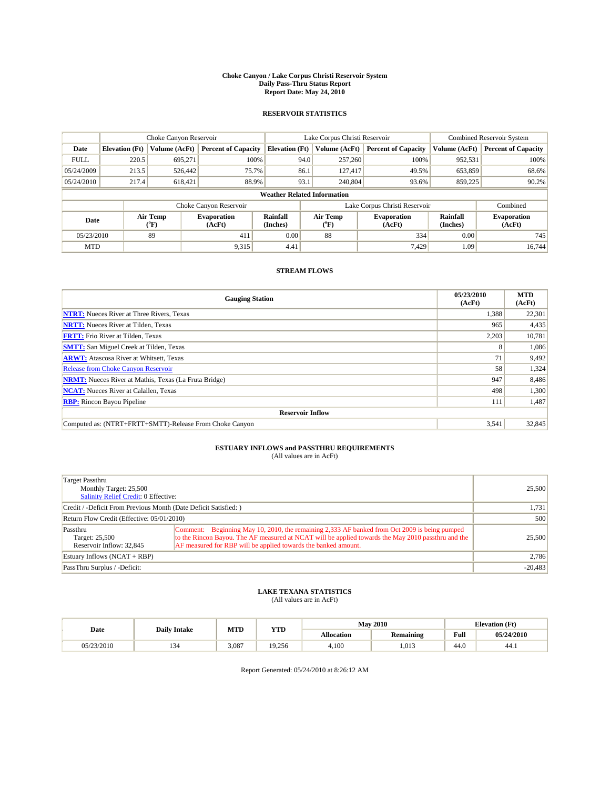#### **Choke Canyon / Lake Corpus Christi Reservoir System Daily Pass-Thru Status Report Report Date: May 24, 2010**

## **RESERVOIR STATISTICS**

|             | Choke Canyon Reservoir |                  |                              |                       | Lake Corpus Christi Reservoir      | <b>Combined Reservoir System</b> |                      |                              |
|-------------|------------------------|------------------|------------------------------|-----------------------|------------------------------------|----------------------------------|----------------------|------------------------------|
| Date        | <b>Elevation</b> (Ft)  | Volume (AcFt)    | <b>Percent of Capacity</b>   | <b>Elevation</b> (Ft) | Volume (AcFt)                      | <b>Percent of Capacity</b>       | Volume (AcFt)        | <b>Percent of Capacity</b>   |
| <b>FULL</b> | 220.5                  | 695,271          | 100%                         |                       | 94.0<br>257,260                    | 100%                             | 952,531              | 100%                         |
| 05/24/2009  | 213.5                  | 526,442          | 75.7%                        | 86.1                  | 127,417                            | 49.5%                            | 653,859              | 68.6%                        |
| 05/24/2010  | 217.4                  | 618,421          | 88.9%                        | 93.1                  | 240,804                            | 93.6%                            | 859,225              | 90.2%                        |
|             |                        |                  |                              |                       | <b>Weather Related Information</b> |                                  |                      |                              |
|             |                        |                  | Choke Canyon Reservoir       |                       |                                    | Lake Corpus Christi Reservoir    |                      | Combined                     |
| Date        |                        | Air Temp<br>(°F) | <b>Evaporation</b><br>(AcFt) | Rainfall<br>(Inches)  | Air Temp<br>("F)                   | <b>Evaporation</b><br>(AcFt)     | Rainfall<br>(Inches) | <b>Evaporation</b><br>(AcFt) |
| 05/23/2010  |                        | 89               | 411                          | 0.00                  | 88                                 | 334                              | 0.00                 | 745                          |
| <b>MTD</b>  |                        |                  | 9,315                        | 4.41                  |                                    | 7,429                            | 1.09                 | 16.744                       |

## **STREAM FLOWS**

| <b>Gauging Station</b>                                       | 05/23/2010<br>(AcFt) | <b>MTD</b><br>(AcFt) |  |  |  |  |  |
|--------------------------------------------------------------|----------------------|----------------------|--|--|--|--|--|
| <b>NTRT:</b> Nueces River at Three Rivers, Texas             | 1,388                | 22,301               |  |  |  |  |  |
| <b>NRTT:</b> Nueces River at Tilden, Texas                   | 965                  | 4,435                |  |  |  |  |  |
| <b>FRTT:</b> Frio River at Tilden, Texas                     | 2,203                | 10,781               |  |  |  |  |  |
| <b>SMTT:</b> San Miguel Creek at Tilden, Texas               | 8                    | 1,086                |  |  |  |  |  |
| <b>ARWT:</b> Atascosa River at Whitsett, Texas               | 71                   | 9,492                |  |  |  |  |  |
| <b>Release from Choke Canyon Reservoir</b>                   | 58                   | 1,324                |  |  |  |  |  |
| <b>NRMT:</b> Nueces River at Mathis, Texas (La Fruta Bridge) | 947                  | 8,486                |  |  |  |  |  |
| <b>NCAT:</b> Nueces River at Calallen, Texas                 | 498                  | 1,300                |  |  |  |  |  |
| <b>RBP:</b> Rincon Bayou Pipeline                            | 111                  | 1,487                |  |  |  |  |  |
| <b>Reservoir Inflow</b>                                      |                      |                      |  |  |  |  |  |
| Computed as: (NTRT+FRTT+SMTT)-Release From Choke Canyon      | 3,541                | 32,845               |  |  |  |  |  |

# **ESTUARY INFLOWS and PASSTHRU REQUIREMENTS**<br>(All values are in AcFt)

| Target Passthru<br>Monthly Target: 25,500<br>Salinity Relief Credit: 0 Effective: | 25,500                                                                                                                                                                                                                                                               |           |
|-----------------------------------------------------------------------------------|----------------------------------------------------------------------------------------------------------------------------------------------------------------------------------------------------------------------------------------------------------------------|-----------|
| Credit / -Deficit From Previous Month (Date Deficit Satisfied: )                  | 1,731                                                                                                                                                                                                                                                                |           |
| Return Flow Credit (Effective: 05/01/2010)                                        | 500                                                                                                                                                                                                                                                                  |           |
| Passthru<br>Target: 25,500<br>Reservoir Inflow: 32.845                            | Comment: Beginning May 10, 2010, the remaining 2,333 AF banked from Oct 2009 is being pumped<br>to the Rincon Bayou. The AF measured at NCAT will be applied towards the May 2010 passthru and the<br>AF measured for RBP will be applied towards the banked amount. | 25,500    |
| Estuary Inflows (NCAT + RBP)                                                      | 2,786                                                                                                                                                                                                                                                                |           |
| PassThru Surplus / -Deficit:                                                      |                                                                                                                                                                                                                                                                      | $-20,483$ |

## **LAKE TEXANA STATISTICS** (All values are in AcFt)

|            | <b>Daily Intake</b> | MTD<br><b>YTD</b> |        | <b>May 2010</b>   | <b>Elevation</b> (Ft) |      |            |
|------------|---------------------|-------------------|--------|-------------------|-----------------------|------|------------|
| Date       |                     |                   |        | <b>Allocation</b> | <b>Remaining</b>      | Full | 05/24/2010 |
| 05/23/2010 |                     | 3.087             | 19.256 | 4.100             | .013                  | 44.0 | 44.1       |

Report Generated: 05/24/2010 at 8:26:12 AM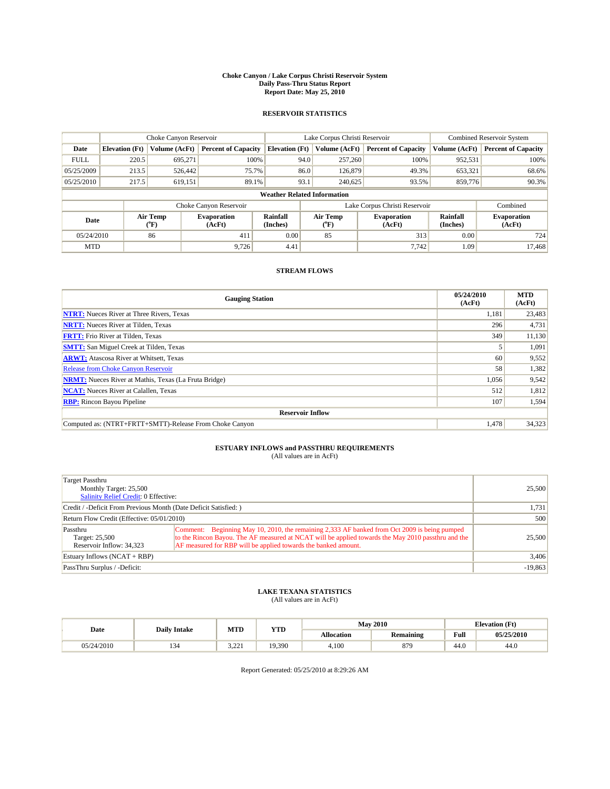#### **Choke Canyon / Lake Corpus Christi Reservoir System Daily Pass-Thru Status Report Report Date: May 25, 2010**

## **RESERVOIR STATISTICS**

|             | Choke Canyon Reservoir |                  |                              |                                    | Lake Corpus Christi Reservoir | <b>Combined Reservoir System</b> |                      |                              |
|-------------|------------------------|------------------|------------------------------|------------------------------------|-------------------------------|----------------------------------|----------------------|------------------------------|
| Date        | <b>Elevation</b> (Ft)  | Volume (AcFt)    | <b>Percent of Capacity</b>   | <b>Elevation</b> (Ft)              | Volume (AcFt)                 | <b>Percent of Capacity</b>       | Volume (AcFt)        | <b>Percent of Capacity</b>   |
| <b>FULL</b> | 220.5                  | 695,271          | 100%                         | 94.0                               | 257,260                       | 100%                             | 952,531              | 100%                         |
| 05/25/2009  | 213.5                  | 526,442          | 75.7%                        |                                    | 86.0<br>126,879               | 49.3%                            | 653,321              | 68.6%                        |
| 05/25/2010  | 217.5                  | 619,151          | 89.1%                        | 93.1                               | 240,625                       | 93.5%                            | 859,776              | 90.3%                        |
|             |                        |                  |                              | <b>Weather Related Information</b> |                               |                                  |                      |                              |
|             |                        |                  | Choke Canyon Reservoir       |                                    | Lake Corpus Christi Reservoir |                                  |                      | Combined                     |
| Date        |                        | Air Temp<br>(°F) | <b>Evaporation</b><br>(AcFt) | Rainfall<br>(Inches)               | Air Temp<br>("F)              | <b>Evaporation</b><br>(AcFt)     | Rainfall<br>(Inches) | <b>Evaporation</b><br>(AcFt) |
| 05/24/2010  |                        | 86               | 411                          | 0.00                               | 85                            | 313                              | 0.00                 | 724                          |
| <b>MTD</b>  |                        |                  | 9.726                        | 4.41                               |                               | 7,742                            | 1.09                 | 17.468                       |

## **STREAM FLOWS**

| <b>Gauging Station</b>                                       | 05/24/2010<br>(AcFt) | <b>MTD</b><br>(AcFt) |  |  |  |  |  |
|--------------------------------------------------------------|----------------------|----------------------|--|--|--|--|--|
| <b>NTRT:</b> Nueces River at Three Rivers, Texas             | 1,181                | 23,483               |  |  |  |  |  |
| <b>NRTT:</b> Nueces River at Tilden, Texas                   | 296                  | 4,731                |  |  |  |  |  |
| <b>FRTT:</b> Frio River at Tilden, Texas                     | 349                  | 11,130               |  |  |  |  |  |
| <b>SMTT:</b> San Miguel Creek at Tilden, Texas               |                      | 1,091                |  |  |  |  |  |
| <b>ARWT:</b> Atascosa River at Whitsett, Texas               | 60                   | 9,552                |  |  |  |  |  |
| <b>Release from Choke Canyon Reservoir</b>                   | 58                   | 1,382                |  |  |  |  |  |
| <b>NRMT:</b> Nueces River at Mathis, Texas (La Fruta Bridge) | 1,056                | 9,542                |  |  |  |  |  |
| <b>NCAT:</b> Nueces River at Calallen, Texas                 | 512                  | 1,812                |  |  |  |  |  |
| <b>RBP:</b> Rincon Bayou Pipeline                            | 107                  | 1,594                |  |  |  |  |  |
| <b>Reservoir Inflow</b>                                      |                      |                      |  |  |  |  |  |
| Computed as: (NTRT+FRTT+SMTT)-Release From Choke Canyon      | 1,478                | 34,323               |  |  |  |  |  |

# **ESTUARY INFLOWS and PASSTHRU REQUIREMENTS**<br>(All values are in AcFt)

| Target Passthru<br>Monthly Target: 25,500<br>Salinity Relief Credit: 0 Effective: | 25,500                                                                                                                                                                                                                                                               |           |
|-----------------------------------------------------------------------------------|----------------------------------------------------------------------------------------------------------------------------------------------------------------------------------------------------------------------------------------------------------------------|-----------|
| Credit / -Deficit From Previous Month (Date Deficit Satisfied: )                  | 1,731                                                                                                                                                                                                                                                                |           |
| Return Flow Credit (Effective: 05/01/2010)                                        | 500                                                                                                                                                                                                                                                                  |           |
| Passthru<br>Target: 25,500<br>Reservoir Inflow: 34.323                            | Comment: Beginning May 10, 2010, the remaining 2,333 AF banked from Oct 2009 is being pumped<br>to the Rincon Bayou. The AF measured at NCAT will be applied towards the May 2010 passthru and the<br>AF measured for RBP will be applied towards the banked amount. | 25,500    |
| Estuary Inflows (NCAT + RBP)                                                      | 3,406                                                                                                                                                                                                                                                                |           |
| PassThru Surplus / -Deficit:                                                      |                                                                                                                                                                                                                                                                      | $-19,863$ |

## **LAKE TEXANA STATISTICS** (All values are in AcFt)

|            | <b>Daily Intake</b> | MTD       | <b>May 2010</b><br><b>YTD</b> |                   |                  | <b>Elevation</b> (Ft) |            |
|------------|---------------------|-----------|-------------------------------|-------------------|------------------|-----------------------|------------|
| Date       |                     |           |                               | <b>Allocation</b> | <b>Remaining</b> | Full                  | 05/25/2010 |
| 05/24/2010 | $1.7 -$             | ור ב<br>. | 19,390                        | 4.100             | 879              | $\sqrt{ }$<br>44.0    | 44.0       |

Report Generated: 05/25/2010 at 8:29:26 AM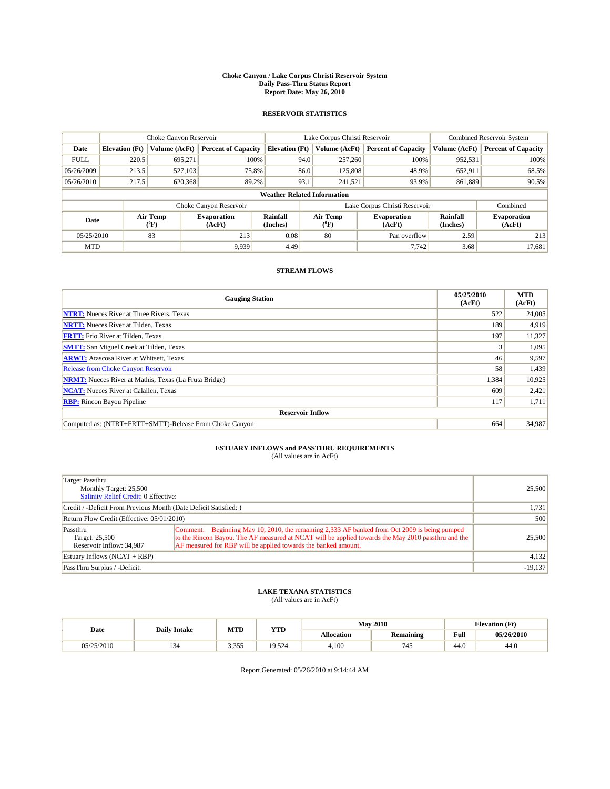#### **Choke Canyon / Lake Corpus Christi Reservoir System Daily Pass-Thru Status Report Report Date: May 26, 2010**

## **RESERVOIR STATISTICS**

|             | Choke Canyon Reservoir |                             |                              |                                    | Lake Corpus Christi Reservoir |                              |                              |                      | <b>Combined Reservoir System</b> |  |
|-------------|------------------------|-----------------------------|------------------------------|------------------------------------|-------------------------------|------------------------------|------------------------------|----------------------|----------------------------------|--|
| Date        | <b>Elevation</b> (Ft)  | Volume (AcFt)               | <b>Percent of Capacity</b>   | <b>Elevation (Ft)</b>              |                               | Volume (AcFt)                | <b>Percent of Capacity</b>   | Volume (AcFt)        | <b>Percent of Capacity</b>       |  |
| <b>FULL</b> | 220.5                  | 695,271                     | 100%                         |                                    | 94.0                          | 257,260                      | 100%                         | 952,531              | 100%                             |  |
| 05/26/2009  | 213.5                  | 527,103                     | 75.8%                        |                                    | 86.0                          | 125,808                      | 48.9%                        | 652,911              | 68.5%                            |  |
| 05/26/2010  | 217.5                  | 620,368                     | 89.2%                        |                                    | 93.1                          | 241,521                      | 93.9%                        | 861,889              | 90.5%                            |  |
|             |                        |                             |                              | <b>Weather Related Information</b> |                               |                              |                              |                      |                                  |  |
|             |                        |                             | Choke Canyon Reservoir       |                                    | Lake Corpus Christi Reservoir |                              |                              |                      | Combined                         |  |
| Date        |                        | Air Temp<br>${}^{\circ}$ F) | <b>Evaporation</b><br>(AcFt) | Rainfall<br>(Inches)               |                               | Air Temp<br>$\rm ^{(^o}\!F)$ | <b>Evaporation</b><br>(AcFt) | Rainfall<br>(Inches) | <b>Evaporation</b><br>(AcFt)     |  |
| 05/25/2010  |                        | 83                          | 213                          | 0.08                               |                               | 80                           | Pan overflow                 | 2.59                 | 213                              |  |
| <b>MTD</b>  |                        |                             | 9.939                        | 4.49                               |                               |                              | 7,742                        | 3.68                 | 17,681                           |  |

## **STREAM FLOWS**

| <b>Gauging Station</b>                                       | 05/25/2010<br>(AcFt) | <b>MTD</b><br>(AcFt) |  |  |  |  |  |
|--------------------------------------------------------------|----------------------|----------------------|--|--|--|--|--|
| <b>NTRT:</b> Nueces River at Three Rivers, Texas             | 522                  | 24,005               |  |  |  |  |  |
| <b>NRTT:</b> Nueces River at Tilden, Texas                   | 189                  | 4,919                |  |  |  |  |  |
| <b>FRTT:</b> Frio River at Tilden, Texas                     | 197                  | 11,327               |  |  |  |  |  |
| <b>SMTT:</b> San Miguel Creek at Tilden, Texas               |                      | 1,095                |  |  |  |  |  |
| <b>ARWT:</b> Atascosa River at Whitsett, Texas               | 46                   | 9,597                |  |  |  |  |  |
| <b>Release from Choke Canyon Reservoir</b>                   | 58                   | 1,439                |  |  |  |  |  |
| <b>NRMT:</b> Nueces River at Mathis, Texas (La Fruta Bridge) | 1,384                | 10,925               |  |  |  |  |  |
| <b>NCAT:</b> Nueces River at Calallen, Texas                 | 609                  | 2,421                |  |  |  |  |  |
| <b>RBP:</b> Rincon Bayou Pipeline                            | 117                  | 1,711                |  |  |  |  |  |
| <b>Reservoir Inflow</b>                                      |                      |                      |  |  |  |  |  |
| Computed as: (NTRT+FRTT+SMTT)-Release From Choke Canyon      | 664                  | 34,987               |  |  |  |  |  |

# **ESTUARY INFLOWS and PASSTHRU REQUIREMENTS**<br>(All values are in AcFt)

| Target Passthru<br>Monthly Target: 25,500<br><b>Salinity Relief Credit: 0 Effective:</b> | 25,500                                                                                                                                                                                                                                                               |           |
|------------------------------------------------------------------------------------------|----------------------------------------------------------------------------------------------------------------------------------------------------------------------------------------------------------------------------------------------------------------------|-----------|
| Credit / -Deficit From Previous Month (Date Deficit Satisfied: )                         | 1,731                                                                                                                                                                                                                                                                |           |
| Return Flow Credit (Effective: 05/01/2010)                                               | 500                                                                                                                                                                                                                                                                  |           |
| Passthru<br>Target: 25,500<br>Reservoir Inflow: 34.987                                   | Comment: Beginning May 10, 2010, the remaining 2,333 AF banked from Oct 2009 is being pumped<br>to the Rincon Bayou. The AF measured at NCAT will be applied towards the May 2010 passthru and the<br>AF measured for RBP will be applied towards the banked amount. | 25,500    |
| Estuary Inflows $(NCAT + RBP)$                                                           | 4,132                                                                                                                                                                                                                                                                |           |
| PassThru Surplus / -Deficit:                                                             |                                                                                                                                                                                                                                                                      | $-19,137$ |

## **LAKE TEXANA STATISTICS** (All values are in AcFt)

|            | <b>Daily Intake</b> | MTD   | <b>YTD</b> |                   | <b>May 2010</b>  |                    | <b>Elevation</b> (Ft) |
|------------|---------------------|-------|------------|-------------------|------------------|--------------------|-----------------------|
| Date       |                     |       |            | <b>Allocation</b> | <b>Remaining</b> | Full               | 05/26/2010            |
| 05/25/2010 | $1.7 -$             | 3.355 | 19,524     | 4.100             | 745              | $\sqrt{ }$<br>44.0 | 44.0                  |

Report Generated: 05/26/2010 at 9:14:44 AM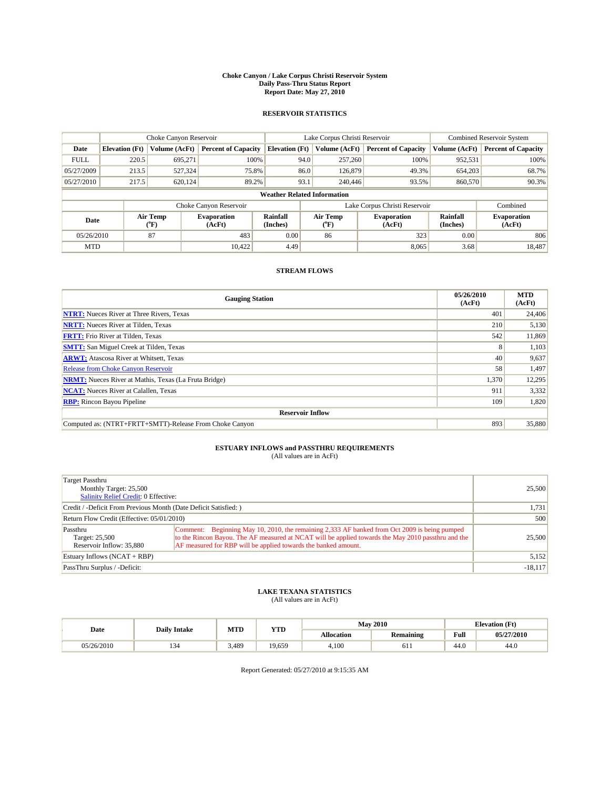#### **Choke Canyon / Lake Corpus Christi Reservoir System Daily Pass-Thru Status Report Report Date: May 27, 2010**

## **RESERVOIR STATISTICS**

|             | Choke Canyon Reservoir |                  |                              |                                    | Lake Corpus Christi Reservoir | <b>Combined Reservoir System</b> |                      |                              |
|-------------|------------------------|------------------|------------------------------|------------------------------------|-------------------------------|----------------------------------|----------------------|------------------------------|
| Date        | <b>Elevation</b> (Ft)  | Volume (AcFt)    | <b>Percent of Capacity</b>   | <b>Elevation</b> (Ft)              | Volume (AcFt)                 | <b>Percent of Capacity</b>       | Volume (AcFt)        | <b>Percent of Capacity</b>   |
| <b>FULL</b> | 220.5                  | 695,271          | 100%                         | 94.0                               | 257,260                       | 100%                             | 952,531              | 100%                         |
| 05/27/2009  | 213.5                  | 527,324          | 75.8%                        | 86.0                               | 126,879                       | 49.3%                            | 654,203              | 68.7%                        |
| 05/27/2010  | 217.5                  | 620,124          | 89.2%                        | 93.1                               | 240,446                       | 93.5%                            | 860,570              | 90.3%                        |
|             |                        |                  |                              | <b>Weather Related Information</b> |                               |                                  |                      |                              |
|             |                        |                  | Choke Canyon Reservoir       |                                    | Lake Corpus Christi Reservoir |                                  |                      | Combined                     |
| Date        |                        | Air Temp<br>(°F) | <b>Evaporation</b><br>(AcFt) | Rainfall<br>(Inches)               | Air Temp<br>("F)              | <b>Evaporation</b><br>(AcFt)     | Rainfall<br>(Inches) | <b>Evaporation</b><br>(AcFt) |
| 05/26/2010  |                        | 87               | 483                          | 0.00                               | 86                            | 323                              | 0.00                 | 806                          |
| <b>MTD</b>  |                        |                  | 10.422                       | 4.49                               |                               | 8.065                            | 3.68                 | 18.487                       |

## **STREAM FLOWS**

| <b>Gauging Station</b>                                       | 05/26/2010<br>(AcFt) | <b>MTD</b><br>(AcFt) |  |  |  |  |  |
|--------------------------------------------------------------|----------------------|----------------------|--|--|--|--|--|
| <b>NTRT:</b> Nueces River at Three Rivers, Texas             | 401                  | 24,406               |  |  |  |  |  |
| <b>NRTT:</b> Nueces River at Tilden, Texas                   | 210                  | 5,130                |  |  |  |  |  |
| <b>FRTT:</b> Frio River at Tilden, Texas                     | 542                  | 11,869               |  |  |  |  |  |
| <b>SMTT:</b> San Miguel Creek at Tilden, Texas               | 8                    | 1,103                |  |  |  |  |  |
| <b>ARWT:</b> Atascosa River at Whitsett, Texas               | 40                   | 9,637                |  |  |  |  |  |
| <b>Release from Choke Canyon Reservoir</b>                   | 58                   | 1,497                |  |  |  |  |  |
| <b>NRMT:</b> Nueces River at Mathis, Texas (La Fruta Bridge) | 1,370                | 12,295               |  |  |  |  |  |
| <b>NCAT:</b> Nueces River at Calallen, Texas                 | 911                  | 3,332                |  |  |  |  |  |
| <b>RBP:</b> Rincon Bayou Pipeline                            | 109                  | 1,820                |  |  |  |  |  |
| <b>Reservoir Inflow</b>                                      |                      |                      |  |  |  |  |  |
| Computed as: (NTRT+FRTT+SMTT)-Release From Choke Canyon      | 893                  | 35,880               |  |  |  |  |  |

# **ESTUARY INFLOWS and PASSTHRU REQUIREMENTS**<br>(All values are in AcFt)

| Target Passthru                                                  |                                                                                                     |           |
|------------------------------------------------------------------|-----------------------------------------------------------------------------------------------------|-----------|
| Monthly Target: 25,500                                           |                                                                                                     | 25,500    |
| Salinity Relief Credit: 0 Effective:                             |                                                                                                     |           |
| Credit / -Deficit From Previous Month (Date Deficit Satisfied: ) | 1,731                                                                                               |           |
| Return Flow Credit (Effective: 05/01/2010)                       | 500                                                                                                 |           |
| Passthru                                                         | Comment: Beginning May 10, 2010, the remaining 2,333 AF banked from Oct 2009 is being pumped        |           |
| Target: 25,500                                                   | to the Rincon Bayou. The AF measured at NCAT will be applied towards the May 2010 passt hru and the | 25,500    |
| Reservoir Inflow: 35,880                                         | AF measured for RBP will be applied towards the banked amount.                                      |           |
| Estuary Inflows $(NCAT + RBP)$                                   |                                                                                                     | 5,152     |
| PassThru Surplus / -Deficit:                                     |                                                                                                     | $-18,117$ |

## **LAKE TEXANA STATISTICS** (All values are in AcFt)

|            | <b>Daily Intake</b> | MTD   | <b>YTD</b> |                   | <b>May 2010</b>  | <b>Elevation</b> (Ft) |            |
|------------|---------------------|-------|------------|-------------------|------------------|-----------------------|------------|
| Date       |                     |       |            | <b>Allocation</b> | <b>Remaining</b> | Full                  | 05/27/2010 |
| 05/26/2010 | $1.7 -$             | 3,489 | 19.659     | 4.100             | 0 I I            | $\sqrt{ }$<br>44.0    | 44.0       |

Report Generated: 05/27/2010 at 9:15:35 AM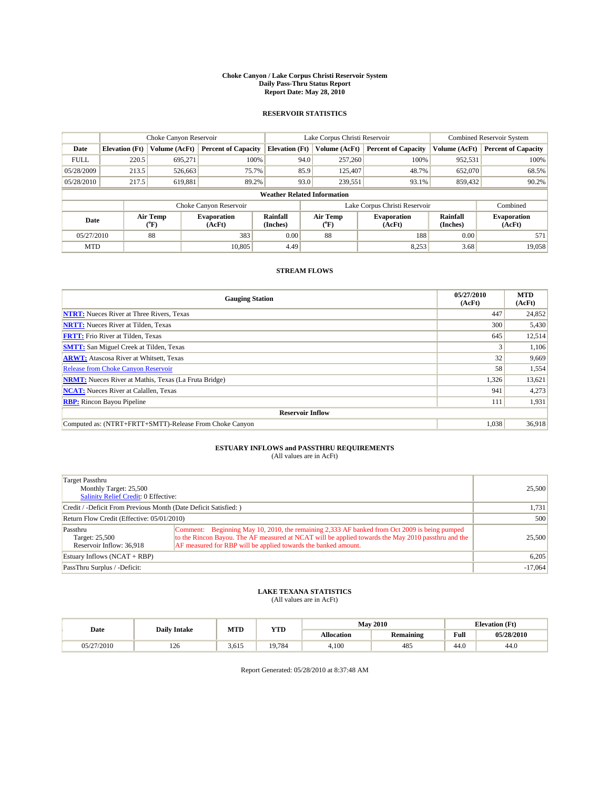#### **Choke Canyon / Lake Corpus Christi Reservoir System Daily Pass-Thru Status Report Report Date: May 28, 2010**

## **RESERVOIR STATISTICS**

|             | Choke Canyon Reservoir |                  |                              |                                    | Lake Corpus Christi Reservoir | <b>Combined Reservoir System</b> |                      |                              |
|-------------|------------------------|------------------|------------------------------|------------------------------------|-------------------------------|----------------------------------|----------------------|------------------------------|
| Date        | <b>Elevation</b> (Ft)  | Volume (AcFt)    | <b>Percent of Capacity</b>   | <b>Elevation</b> (Ft)              | Volume (AcFt)                 | <b>Percent of Capacity</b>       | Volume (AcFt)        | <b>Percent of Capacity</b>   |
| <b>FULL</b> | 220.5                  | 695,271          | 100%                         | 94.0                               | 257,260                       | 100%                             | 952,531              | 100%                         |
| 05/28/2009  | 213.5                  | 526,663          | 75.7%                        | 85.9                               | 125,407                       | 48.7%                            | 652,070              | 68.5%                        |
| 05/28/2010  | 217.5                  | 619,881          | 89.2%                        | 93.0                               | 239,551                       | 93.1%                            | 859,432              | 90.2%                        |
|             |                        |                  |                              | <b>Weather Related Information</b> |                               |                                  |                      |                              |
|             |                        |                  | Choke Canyon Reservoir       |                                    | Lake Corpus Christi Reservoir |                                  |                      | Combined                     |
| Date        |                        | Air Temp<br>(°F) | <b>Evaporation</b><br>(AcFt) | Rainfall<br>(Inches)               | Air Temp<br>("F)              | <b>Evaporation</b><br>(AcFt)     | Rainfall<br>(Inches) | <b>Evaporation</b><br>(AcFt) |
| 05/27/2010  |                        | 88               | 383                          | 0.00                               | 88                            | 188                              | 0.00                 | 571                          |
| <b>MTD</b>  |                        |                  | 10.805                       | 4.49                               |                               | 8,253                            | 3.68                 | 19,058                       |

## **STREAM FLOWS**

| <b>Gauging Station</b>                                       | 05/27/2010<br>(AcFt) | <b>MTD</b><br>(AcFt) |  |  |  |  |
|--------------------------------------------------------------|----------------------|----------------------|--|--|--|--|
| <b>NTRT:</b> Nueces River at Three Rivers, Texas             | 447                  | 24,852               |  |  |  |  |
| <b>NRTT:</b> Nueces River at Tilden, Texas                   | 300                  | 5,430                |  |  |  |  |
| <b>FRTT:</b> Frio River at Tilden, Texas                     | 645                  | 12,514               |  |  |  |  |
| <b>SMTT:</b> San Miguel Creek at Tilden, Texas               |                      | 1,106                |  |  |  |  |
| <b>ARWT:</b> Atascosa River at Whitsett, Texas               | 32                   | 9,669                |  |  |  |  |
| <b>Release from Choke Canyon Reservoir</b>                   | 58                   | 1,554                |  |  |  |  |
| <b>NRMT:</b> Nueces River at Mathis, Texas (La Fruta Bridge) | 1,326                | 13,621               |  |  |  |  |
| <b>NCAT:</b> Nueces River at Calallen, Texas                 | 941                  | 4,273                |  |  |  |  |
| <b>RBP:</b> Rincon Bayou Pipeline                            | 111                  | 1,931                |  |  |  |  |
| <b>Reservoir Inflow</b>                                      |                      |                      |  |  |  |  |
| Computed as: (NTRT+FRTT+SMTT)-Release From Choke Canyon      | 1,038                | 36,918               |  |  |  |  |

# **ESTUARY INFLOWS and PASSTHRU REQUIREMENTS**<br>(All values are in AcFt)

| Target Passthru<br>Monthly Target: 25,500<br><b>Salinity Relief Credit: 0 Effective:</b> |                                                                                                                                                                                                                                                                      |           |  |  |  |
|------------------------------------------------------------------------------------------|----------------------------------------------------------------------------------------------------------------------------------------------------------------------------------------------------------------------------------------------------------------------|-----------|--|--|--|
| Credit / -Deficit From Previous Month (Date Deficit Satisfied: )                         |                                                                                                                                                                                                                                                                      |           |  |  |  |
| Return Flow Credit (Effective: 05/01/2010)                                               | 500                                                                                                                                                                                                                                                                  |           |  |  |  |
| Passthru<br>Target: 25,500<br>Reservoir Inflow: 36,918                                   | Comment: Beginning May 10, 2010, the remaining 2,333 AF banked from Oct 2009 is being pumped<br>to the Rincon Bayou. The AF measured at NCAT will be applied towards the May 2010 passthru and the<br>AF measured for RBP will be applied towards the banked amount. | 25,500    |  |  |  |
| Estuary Inflows $(NCAT + RBP)$                                                           |                                                                                                                                                                                                                                                                      | 6,205     |  |  |  |
| PassThru Surplus / -Deficit:                                                             |                                                                                                                                                                                                                                                                      | $-17,064$ |  |  |  |

## **LAKE TEXANA STATISTICS** (All values are in AcFt)

|            | <b>Daily Intake</b> | MTD   | <b>YTD</b> | <b>May 2010</b>   |                  | <b>Elevation</b> (Ft) |            |
|------------|---------------------|-------|------------|-------------------|------------------|-----------------------|------------|
| Date       |                     |       |            | <b>Allocation</b> | <b>Remaining</b> | <b>Full</b>           | 05/28/2010 |
| 05/27/2010 | 126                 | 3,615 | 19.784     | 4.100             | 485              | 44.0                  | 44.0       |

Report Generated: 05/28/2010 at 8:37:48 AM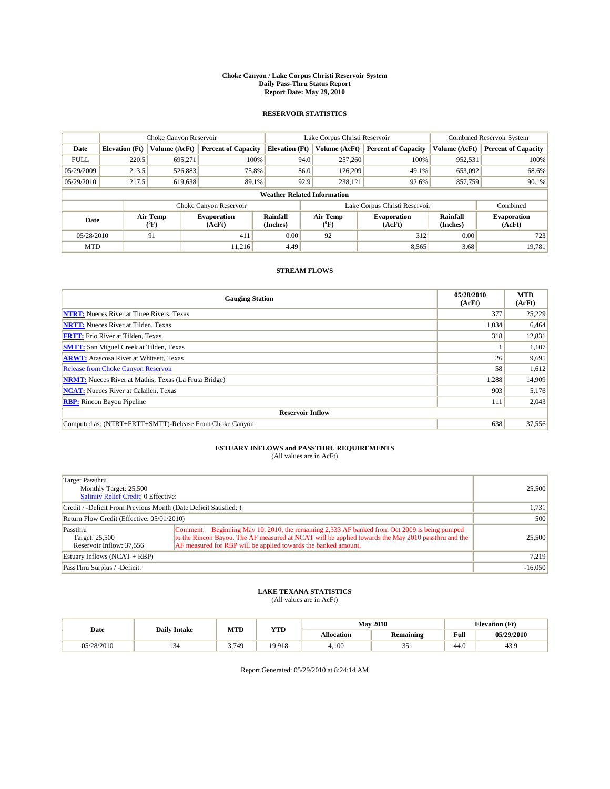#### **Choke Canyon / Lake Corpus Christi Reservoir System Daily Pass-Thru Status Report Report Date: May 29, 2010**

## **RESERVOIR STATISTICS**

|             | Choke Canyon Reservoir |                  |                              |                                    | Lake Corpus Christi Reservoir | <b>Combined Reservoir System</b>                     |               |                              |
|-------------|------------------------|------------------|------------------------------|------------------------------------|-------------------------------|------------------------------------------------------|---------------|------------------------------|
| Date        | <b>Elevation</b> (Ft)  | Volume (AcFt)    | <b>Percent of Capacity</b>   | <b>Elevation</b> (Ft)              | Volume (AcFt)                 | <b>Percent of Capacity</b>                           | Volume (AcFt) | <b>Percent of Capacity</b>   |
| <b>FULL</b> | 220.5                  | 695.271          | 100%                         | 94.0                               | 257,260                       | 100%                                                 | 952,531       | 100%                         |
| 05/29/2009  | 213.5                  | 526,883          | 75.8%                        | 86.0                               | 126,209                       | 49.1%                                                | 653,092       | 68.6%                        |
| 05/29/2010  | 217.5                  | 619,638          | 89.1%                        | 92.9                               | 238,121                       | 92.6%                                                | 857,759       | 90.1%                        |
|             |                        |                  |                              | <b>Weather Related Information</b> |                               |                                                      |               |                              |
|             |                        |                  | Choke Canyon Reservoir       |                                    | Lake Corpus Christi Reservoir |                                                      |               | Combined                     |
| Date        |                        | Air Temp<br>(°F) | <b>Evaporation</b><br>(AcFt) | Rainfall<br>(Inches)               | Air Temp<br>("F)              | Rainfall<br><b>Evaporation</b><br>(Inches)<br>(AcFt) |               | <b>Evaporation</b><br>(AcFt) |
| 05/28/2010  |                        | 91               | 411                          | 0.00                               | 92                            | 312                                                  | 0.00          | 723                          |
| <b>MTD</b>  |                        |                  | 11.216                       | 4.49                               |                               | 8,565                                                | 3.68          | 19.781                       |

## **STREAM FLOWS**

| <b>Gauging Station</b>                                       | 05/28/2010<br>(AcFt) | <b>MTD</b><br>(AcFt) |
|--------------------------------------------------------------|----------------------|----------------------|
| <b>NTRT:</b> Nueces River at Three Rivers, Texas             | 377                  | 25,229               |
| <b>NRTT:</b> Nueces River at Tilden, Texas                   | 1,034                | 6,464                |
| <b>FRTT:</b> Frio River at Tilden, Texas                     | 318                  | 12,831               |
| <b>SMTT:</b> San Miguel Creek at Tilden, Texas               |                      | 1,107                |
| <b>ARWT:</b> Atascosa River at Whitsett, Texas               | 26                   | 9,695                |
| Release from Choke Canyon Reservoir                          | 58                   | 1,612                |
| <b>NRMT:</b> Nueces River at Mathis, Texas (La Fruta Bridge) | 1,288                | 14,909               |
| <b>NCAT:</b> Nueces River at Calallen, Texas                 | 903                  | 5,176                |
| <b>RBP:</b> Rincon Bayou Pipeline                            | 111                  | 2,043                |
| <b>Reservoir Inflow</b>                                      |                      |                      |
| Computed as: (NTRT+FRTT+SMTT)-Release From Choke Canyon      | 638                  | 37,556               |

# **ESTUARY INFLOWS and PASSTHRU REQUIREMENTS**<br>(All values are in AcFt)

| Target Passthru<br>Monthly Target: 25,500<br>Salinity Relief Credit: 0 Effective: | 25,500                                                                                                                                                                                                                                                               |           |  |  |  |
|-----------------------------------------------------------------------------------|----------------------------------------------------------------------------------------------------------------------------------------------------------------------------------------------------------------------------------------------------------------------|-----------|--|--|--|
| Credit / -Deficit From Previous Month (Date Deficit Satisfied: )                  |                                                                                                                                                                                                                                                                      |           |  |  |  |
| Return Flow Credit (Effective: 05/01/2010)                                        | 500                                                                                                                                                                                                                                                                  |           |  |  |  |
| Passthru<br>Target: 25,500<br>Reservoir Inflow: 37.556                            | Comment: Beginning May 10, 2010, the remaining 2,333 AF banked from Oct 2009 is being pumped<br>to the Rincon Bayou. The AF measured at NCAT will be applied towards the May 2010 passthru and the<br>AF measured for RBP will be applied towards the banked amount. | 25,500    |  |  |  |
| Estuary Inflows (NCAT + RBP)                                                      | 7.219                                                                                                                                                                                                                                                                |           |  |  |  |
| PassThru Surplus / -Deficit:                                                      |                                                                                                                                                                                                                                                                      | $-16,050$ |  |  |  |

## **LAKE TEXANA STATISTICS** (All values are in AcFt)

|            | <b>Daily Intake</b> | <b>May 2010</b><br>MTD<br><b>YTD</b> |        |                   |                  | <b>Elevation</b> (Ft) |            |
|------------|---------------------|--------------------------------------|--------|-------------------|------------------|-----------------------|------------|
| Date       |                     |                                      |        | <b>Allocation</b> | <b>Remaining</b> | Full                  | 05/29/2010 |
| 05/28/2010 | $1.7 -$             | 3.749                                | 19.918 | 4.100             | 351              | $\sqrt{ }$<br>44.0    | 43.9       |

Report Generated: 05/29/2010 at 8:24:14 AM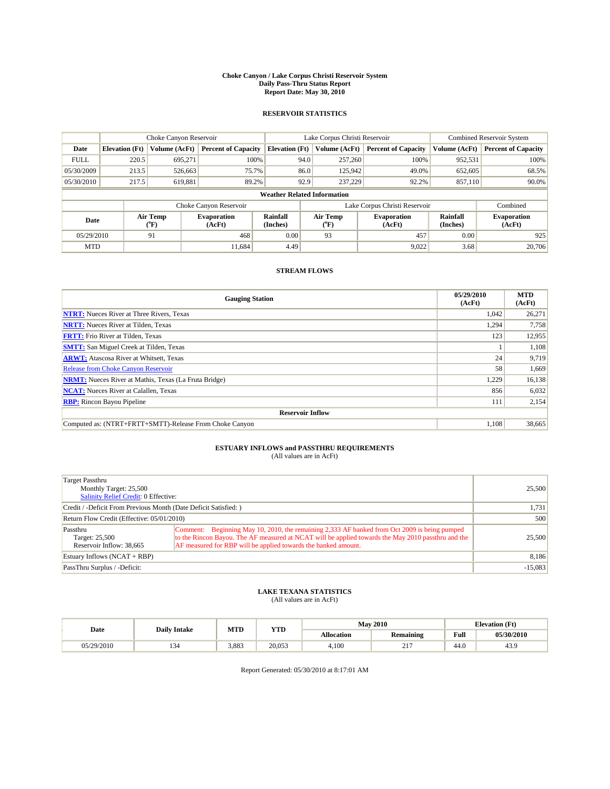#### **Choke Canyon / Lake Corpus Christi Reservoir System Daily Pass-Thru Status Report Report Date: May 30, 2010**

## **RESERVOIR STATISTICS**

|             | Choke Canyon Reservoir |                  |                              |                       | Lake Corpus Christi Reservoir      | <b>Combined Reservoir System</b> |                      |                              |
|-------------|------------------------|------------------|------------------------------|-----------------------|------------------------------------|----------------------------------|----------------------|------------------------------|
| Date        | <b>Elevation</b> (Ft)  | Volume (AcFt)    | <b>Percent of Capacity</b>   | <b>Elevation</b> (Ft) | Volume (AcFt)                      | <b>Percent of Capacity</b>       | Volume (AcFt)        | <b>Percent of Capacity</b>   |
| <b>FULL</b> | 220.5                  | 695.271          | 100%                         |                       | 94.0<br>257,260                    | 100%                             | 952,531              | 100%                         |
| 05/30/2009  | 213.5                  | 526,663          | 75.7%                        |                       | 86.0<br>125,942                    | 49.0%                            | 652,605              | 68.5%                        |
| 05/30/2010  | 217.5                  | 619,881          | 89.2%                        |                       | 92.9<br>237,229                    | 92.2%                            | 857,110              | 90.0%                        |
|             |                        |                  |                              |                       | <b>Weather Related Information</b> |                                  |                      |                              |
|             |                        |                  | Choke Canyon Reservoir       |                       | Lake Corpus Christi Reservoir      |                                  |                      | Combined                     |
| Date        |                        | Air Temp<br>(°F) | <b>Evaporation</b><br>(AcFt) | Rainfall<br>(Inches)  | Air Temp<br>("F)                   | <b>Evaporation</b><br>(AcFt)     | Rainfall<br>(Inches) | <b>Evaporation</b><br>(AcFt) |
| 05/29/2010  |                        | 91               | 468                          | 0.00                  | 93                                 | 457                              | 0.00                 | 925                          |
| <b>MTD</b>  |                        |                  | 11.684                       | 4.49                  |                                    | 9,022                            | 3.68                 | 20,706                       |

## **STREAM FLOWS**

| <b>Gauging Station</b>                                       | 05/29/2010<br>(AcFt) | <b>MTD</b><br>(AcFt) |  |  |  |  |
|--------------------------------------------------------------|----------------------|----------------------|--|--|--|--|
| <b>NTRT:</b> Nueces River at Three Rivers, Texas             | 1.042                | 26,271               |  |  |  |  |
| <b>NRTT:</b> Nueces River at Tilden, Texas                   | 1,294                | 7,758                |  |  |  |  |
| <b>FRTT:</b> Frio River at Tilden, Texas                     | 123                  | 12,955               |  |  |  |  |
| <b>SMTT:</b> San Miguel Creek at Tilden, Texas               |                      | 1,108                |  |  |  |  |
| <b>ARWT:</b> Atascosa River at Whitsett, Texas               | 24                   | 9,719                |  |  |  |  |
| <b>Release from Choke Canyon Reservoir</b>                   | 58                   | 1,669                |  |  |  |  |
| <b>NRMT:</b> Nueces River at Mathis, Texas (La Fruta Bridge) | 1,229                | 16,138               |  |  |  |  |
| <b>NCAT:</b> Nueces River at Calallen, Texas                 | 856                  | 6,032                |  |  |  |  |
| <b>RBP:</b> Rincon Bayou Pipeline                            | 111                  | 2,154                |  |  |  |  |
| <b>Reservoir Inflow</b>                                      |                      |                      |  |  |  |  |
| Computed as: (NTRT+FRTT+SMTT)-Release From Choke Canyon      | 1,108                | 38,665               |  |  |  |  |

# **ESTUARY INFLOWS and PASSTHRU REQUIREMENTS**<br>(All values are in AcFt)

| Target Passthru<br>Monthly Target: 25,500<br>Salinity Relief Credit: 0 Effective: |                                                                                                                                                                                                                                                                       | 25,500    |
|-----------------------------------------------------------------------------------|-----------------------------------------------------------------------------------------------------------------------------------------------------------------------------------------------------------------------------------------------------------------------|-----------|
| Credit / -Deficit From Previous Month (Date Deficit Satisfied:)                   | 1,731                                                                                                                                                                                                                                                                 |           |
| Return Flow Credit (Effective: 05/01/2010)                                        | 500                                                                                                                                                                                                                                                                   |           |
| Passthru<br>Target: 25,500<br>Reservoir Inflow: 38,665                            | Comment: Beginning May 10, 2010, the remaining 2,333 AF banked from Oct 2009 is being pumped<br>to the Rincon Bayou. The AF measured at NCAT will be applied towards the May 2010 passt hru and the<br>AF measured for RBP will be applied towards the banked amount. | 25,500    |
| Estuary Inflows (NCAT + RBP)                                                      |                                                                                                                                                                                                                                                                       | 8,186     |
| PassThru Surplus / -Deficit:                                                      |                                                                                                                                                                                                                                                                       | $-15.083$ |

## **LAKE TEXANA STATISTICS** (All values are in AcFt)

| Date       | <b>Daily Intake</b> | MTD   | <b>YTD</b> | <b>May 2010</b> |                                  | <b>Elevation</b> (Ft)                       |            |
|------------|---------------------|-------|------------|-----------------|----------------------------------|---------------------------------------------|------------|
|            |                     |       |            | Allocation      | Remaining                        | Full<br>the contract of the contract of the | 05/30/2010 |
| 05/29/2010 | ىر 1                | 3.883 | 20,053     | 4.100           | $\sim$ $\sim$ $\sim$<br><u>_</u> | 44.0                                        | 43.9       |

Report Generated: 05/30/2010 at 8:17:01 AM